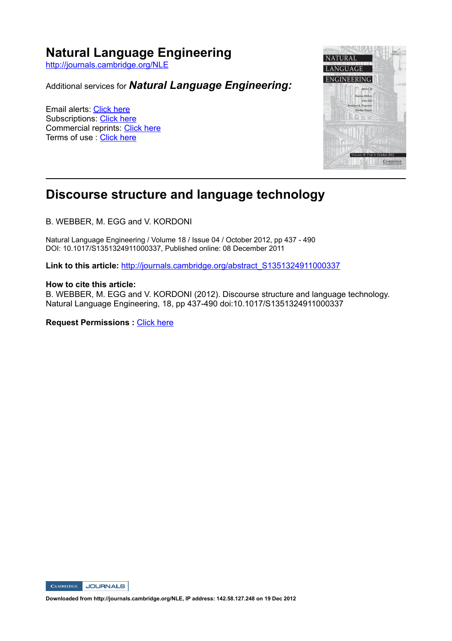## **Natural Language Engineering**

http://journals.cambridge.org/NLE

Additional services for *Natural Language Engineering:*

Email alerts: Click here Subscriptions: Click here Commercial reprints: Click here Terms of use : Click here



# **Discourse structure and language technology**

B. WEBBER, M. EGG and V. KORDONI

Natural Language Engineering / Volume 18 / Issue 04 / October 2012, pp 437 490 DOI: 10.1017/S1351324911000337, Published online: 08 December 2011

Link to this article: http://journals.cambridge.org/abstract\_S1351324911000337

#### **How to cite this article:**

B. WEBBER, M. EGG and V. KORDONI (2012). Discourse structure and language technology. Natural Language Engineering, 18, pp 437490 doi:10.1017/S1351324911000337

**Request Permissions :** Click here



**Downloaded from http://journals.cambridge.org/NLE, IP address: 142.58.127.248 on 19 Dec 2012**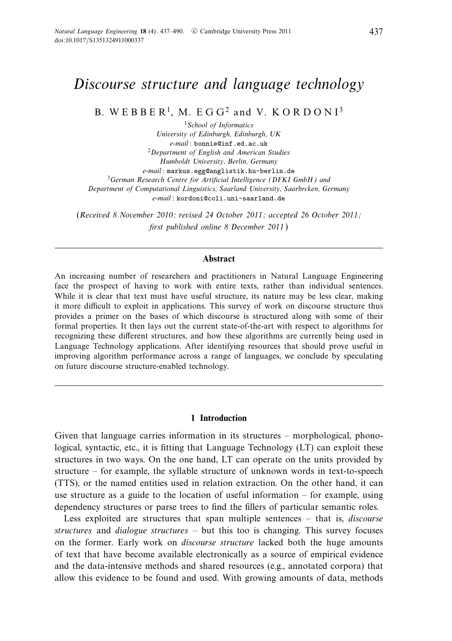## Discourse structure and language technology

B. WEBBER<sup>1</sup>, M. EGG<sup>2</sup> and V. KORDONI<sup>3</sup>

<sup>1</sup>School of Informatics University of Edinburgh, Edinburgh, UK e-mail: bonnie@inf.ed.ac.uk <sup>2</sup>Department of English and American Studies Humboldt University, Berlin, Germany e-mail: markus.egg@anglistik.hu-berlin.de  $3$ German Research Centre for Artificial Intelligence (DFKI GmbH) and Department of Computational Linguistics, Saarland University, Saarbrcken, Germany e-mail: kordoni@coli.uni-saarland.de

(Received 8 November 2010; revised 24 October 2011; accepted 26 October 2011; first published online 8 December 2011 )

#### **Abstract**

An increasing number of researchers and practitioners in Natural Language Engineering face the prospect of having to work with entire texts, rather than individual sentences. While it is clear that text must have useful structure, its nature may be less clear, making it more difficult to exploit in applications. This survey of work on discourse structure thus provides a primer on the bases of which discourse is structured along with some of their formal properties. It then lays out the current state-of-the-art with respect to algorithms for recognizing these different structures, and how these algorithms are currently being used in Language Technology applications. After identifying resources that should prove useful in improving algorithm performance across a range of languages, we conclude by speculating on future discourse structure-enabled technology.

#### **1 Introduction**

Given that language carries information in its structures – morphological, phonological, syntactic, etc., it is fitting that Language Technology (LT) can exploit these structures in two ways. On the one hand, LT can operate on the units provided by structure – for example, the syllable structure of unknown words in text-to-speech (TTS), or the named entities used in relation extraction. On the other hand, it can use structure as a guide to the location of useful information – for example, using dependency structures or parse trees to find the fillers of particular semantic roles.

Less exploited are structures that span multiple sentences – that is, *discourse* structures and dialogue structures – but this too is changing. This survey focuses on the former. Early work on discourse structure lacked both the huge amounts of text that have become available electronically as a source of empirical evidence and the data-intensive methods and shared resources (e.g., annotated corpora) that allow this evidence to be found and used. With growing amounts of data, methods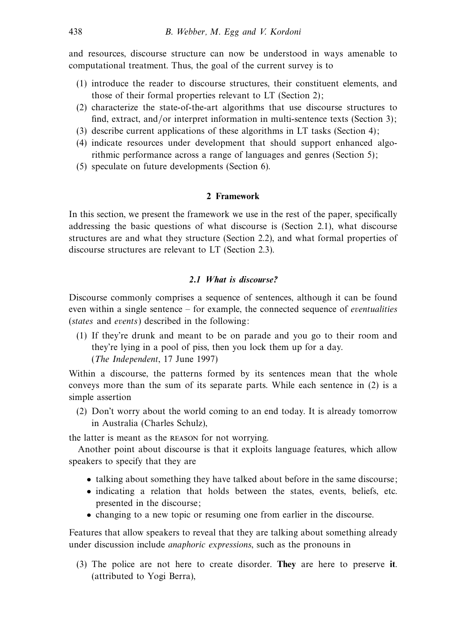and resources, discourse structure can now be understood in ways amenable to computational treatment. Thus, the goal of the current survey is to

- (1) introduce the reader to discourse structures, their constituent elements, and those of their formal properties relevant to LT (Section 2);
- (2) characterize the state-of-the-art algorithms that use discourse structures to find, extract, and/or interpret information in multi-sentence texts (Section 3);
- (3) describe current applications of these algorithms in LT tasks (Section 4);
- (4) indicate resources under development that should support enhanced algorithmic performance across a range of languages and genres (Section 5);
- (5) speculate on future developments (Section 6).

## **2 Framework**

In this section, we present the framework we use in the rest of the paper, specifically addressing the basic questions of what discourse is (Section 2.1), what discourse structures are and what they structure (Section 2.2), and what formal properties of discourse structures are relevant to LT (Section 2.3).

## *2.1 What is discourse?*

Discourse commonly comprises a sequence of sentences, although it can be found even within a single sentence – for example, the connected sequence of *eventualities* (states and events) described in the following:

(1) If they're drunk and meant to be on parade and you go to their room and they're lying in a pool of piss, then you lock them up for a day. (The Independent, 17 June 1997)

Within a discourse, the patterns formed by its sentences mean that the whole conveys more than the sum of its separate parts. While each sentence in (2) is a simple assertion

(2) Don't worry about the world coming to an end today. It is already tomorrow in Australia (Charles Schulz)*,*

the latter is meant as the reason for not worrying.

Another point about discourse is that it exploits language features, which allow speakers to specify that they are

- talking about something they have talked about before in the same discourse;
- indicating a relation that holds between the states, events, beliefs, etc. presented in the discourse;
- changing to a new topic or resuming one from earlier in the discourse.

Features that allow speakers to reveal that they are talking about something already under discussion include anaphoric expressions, such as the pronouns in

(3) The police are not here to create disorder. **They** are here to preserve **it**. (attributed to Yogi Berra)*,*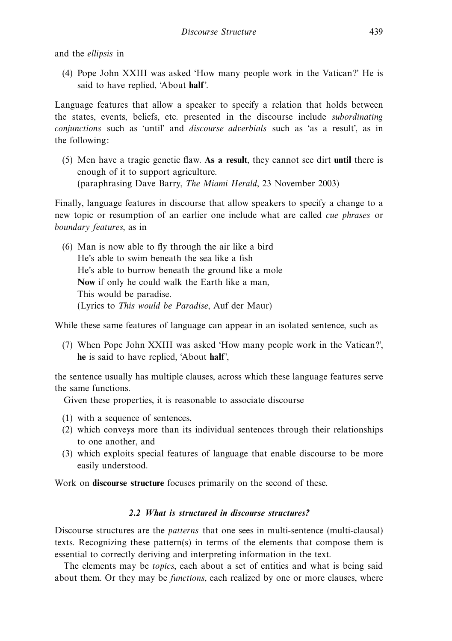and the ellipsis in

(4) Pope John XXIII was asked 'How many people work in the Vatican?' He is said to have replied, 'About **half**'.

Language features that allow a speaker to specify a relation that holds between the states, events, beliefs, etc. presented in the discourse include subordinating conjunctions such as 'until' and discourse adverbials such as 'as a result', as in the following:

(5) Men have a tragic genetic flaw. **As a result**, they cannot see dirt **until** there is enough of it to support agriculture. (paraphrasing Dave Barry, The Miami Herald, 23 November 2003)

Finally, language features in discourse that allow speakers to specify a change to a new topic or resumption of an earlier one include what are called cue phrases or boundary features, as in

(6) Man is now able to fly through the air like a bird He's able to swim beneath the sea like a fish He's able to burrow beneath the ground like a mole **Now** if only he could walk the Earth like a man, This would be paradise. (Lyrics to This would be Paradise, Auf der Maur)

While these same features of language can appear in an isolated sentence, such as

(7) When Pope John XXIII was asked 'How many people work in the Vatican?', **he** is said to have replied, 'About **half**',

the sentence usually has multiple clauses, across which these language features serve the same functions.

Given these properties, it is reasonable to associate discourse

- (1) with a sequence of sentences,
- (2) which conveys more than its individual sentences through their relationships to one another, and
- (3) which exploits special features of language that enable discourse to be more easily understood.

Work on **discourse structure** focuses primarily on the second of these.

## *2.2 What is structured in discourse structures?*

Discourse structures are the patterns that one sees in multi-sentence (multi-clausal) texts. Recognizing these pattern(s) in terms of the elements that compose them is essential to correctly deriving and interpreting information in the text.

The elements may be *topics*, each about a set of entities and what is being said about them. Or they may be functions, each realized by one or more clauses, where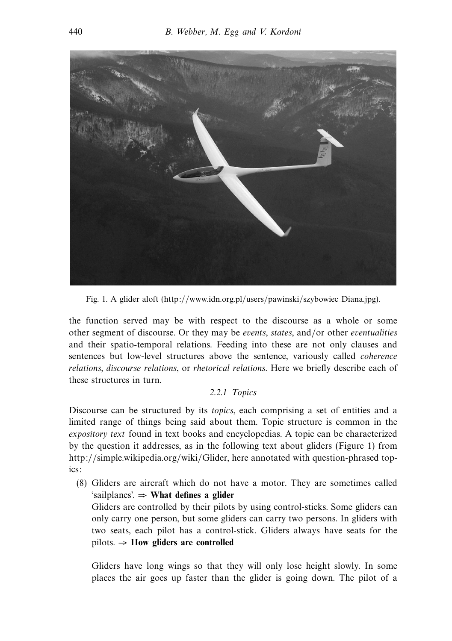

Fig. 1. A glider aloft (http://www.idn.org.pl/users/pawinski/szybowiec Diana.jpg).

the function served may be with respect to the discourse as a whole or some other segment of discourse. Or they may be events, states, and/or other eventualities and their spatio-temporal relations. Feeding into these are not only clauses and sentences but low-level structures above the sentence, variously called coherence relations, discourse relations, or rhetorical relations. Here we briefly describe each of these structures in turn.

## 2.2.1 Topics

Discourse can be structured by its topics, each comprising a set of entities and a limited range of things being said about them. Topic structure is common in the expository text found in text books and encyclopedias. A topic can be characterized by the question it addresses, as in the following text about gliders (Figure 1) from http://simple.wikipedia.org/wiki/Glider, here annotated with question-phrased topics:

(8) Gliders are aircraft which do not have a motor. They are sometimes called 'sailplanes'. ⇒ **What defines a glider** Gliders are controlled by their pilots by using control-sticks. Some gliders can only carry one person, but some gliders can carry two persons. In gliders with two seats, each pilot has a control-stick. Gliders always have seats for the pilots. ⇒ **How gliders are controlled**

Gliders have long wings so that they will only lose height slowly. In some places the air goes up faster than the glider is going down. The pilot of a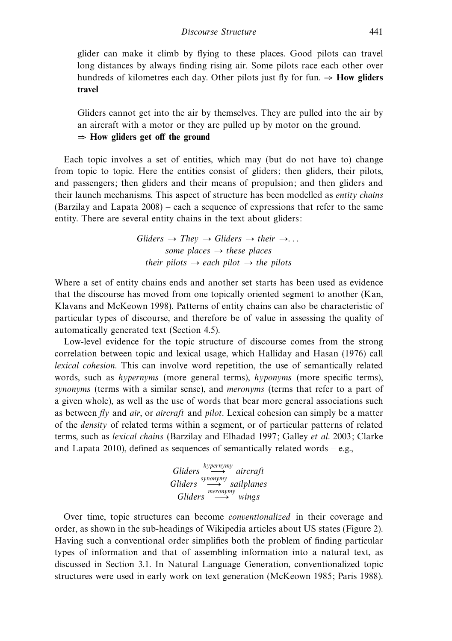glider can make it climb by flying to these places. Good pilots can travel long distances by always finding rising air. Some pilots race each other over hundreds of kilometres each day. Other pilots just fly for fun. ⇒ **How gliders travel**

Gliders cannot get into the air by themselves. They are pulled into the air by an aircraft with a motor or they are pulled up by motor on the ground.

## ⇒ **How gliders get off the ground**

Each topic involves a set of entities, which may (but do not have to) change from topic to topic. Here the entities consist of gliders; then gliders, their pilots, and passengers; then gliders and their means of propulsion; and then gliders and their launch mechanisms. This aspect of structure has been modelled as *entity chains* (Barzilay and Lapata 2008) – each a sequence of expressions that refer to the same entity. There are several entity chains in the text about gliders:

> $Glders \rightarrow They \rightarrow Gliders \rightarrow their \rightarrow...$ some places  $\rightarrow$  these places their pilots  $\rightarrow$  each pilot  $\rightarrow$  the pilots

Where a set of entity chains ends and another set starts has been used as evidence that the discourse has moved from one topically oriented segment to another (Kan, Klavans and McKeown 1998). Patterns of entity chains can also be characteristic of particular types of discourse, and therefore be of value in assessing the quality of automatically generated text (Section 4.5).

Low-level evidence for the topic structure of discourse comes from the strong correlation between topic and lexical usage, which Halliday and Hasan (1976) call lexical cohesion. This can involve word repetition, the use of semantically related words, such as hypernyms (more general terms), hyponyms (more specific terms), synonyms (terms with a similar sense), and meronyms (terms that refer to a part of a given whole), as well as the use of words that bear more general associations such as between  $f_N$  and air, or aircraft and pilot. Lexical cohesion can simply be a matter of the density of related terms within a segment, or of particular patterns of related terms, such as lexical chains (Barzilay and Elhadad 1997; Galley et al. 2003; Clarke and Lapata 2010), defined as sequences of semantically related words – e.g.,

**G**liders 
$$
\xrightarrow{\text{hypernymy}} \text{aircraft}
$$
  
\n**G**liders  $\xrightarrow{\text{spnonymy}} \text{saliplanes}$   
\n**G**liders  $\xrightarrow{\text{meronymy}} \text{wings}$ 

Over time, topic structures can become conventionalized in their coverage and order, as shown in the sub-headings of Wikipedia articles about US states (Figure 2). Having such a conventional order simplifies both the problem of finding particular types of information and that of assembling information into a natural text, as discussed in Section 3.1. In Natural Language Generation, conventionalized topic structures were used in early work on text generation (McKeown 1985; Paris 1988).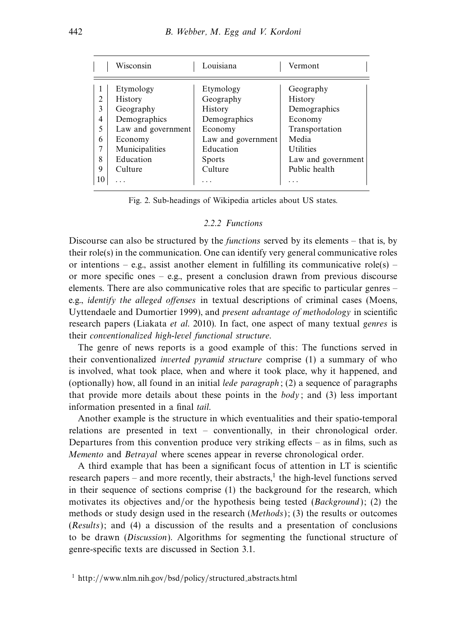|             | Wisconsin                         | Louisiana                                | Vermont                              |
|-------------|-----------------------------------|------------------------------------------|--------------------------------------|
| 1<br>2<br>3 | Etymology<br>History<br>Geography | Etymology<br>Geography<br><b>History</b> | Geography<br>History<br>Demographics |
| 4           | Demographics                      | Demographics                             | Economy                              |
| 5<br>6      | Law and government<br>Economy     | Economy<br>Law and government            | Transportation<br>Media              |
| 7           | Municipalities                    | Education                                | <b>Utilities</b>                     |
| 8           | Education                         | <b>Sports</b>                            | Law and government                   |
| 9           | Culture                           | Culture                                  | Public health                        |
| 10          |                                   |                                          |                                      |

Fig. 2. Sub-headings of Wikipedia articles about US states.

#### 2.2.2 Functions

Discourse can also be structured by the *functions* served by its elements – that is, by their role(s) in the communication. One can identify very general communicative roles or intentions – e.g., assist another element in fulfilling its communicative role(s) – or more specific ones – e.g., present a conclusion drawn from previous discourse elements. There are also communicative roles that are specific to particular genres – e.g., identify the alleged offenses in textual descriptions of criminal cases (Moens, Uyttendaele and Dumortier 1999), and present advantage of methodology in scientific research papers (Liakata et al. 2010). In fact, one aspect of many textual genres is their conventionalized high-level functional structure.

The genre of news reports is a good example of this: The functions served in their conventionalized inverted pyramid structure comprise (1) a summary of who is involved, what took place, when and where it took place, why it happened, and (optionally) how, all found in an initial *lede paragraph*; (2) a sequence of paragraphs that provide more details about these points in the  $body$ ; and (3) less important information presented in a final tail.

Another example is the structure in which eventualities and their spatio-temporal relations are presented in text – conventionally, in their chronological order. Departures from this convention produce very striking effects – as in films, such as Memento and Betrayal where scenes appear in reverse chronological order.

A third example that has been a significant focus of attention in LT is scientific research papers – and more recently, their abstracts,<sup>1</sup> the high-level functions served in their sequence of sections comprise (1) the background for the research, which motivates its objectives and/or the hypothesis being tested (Background); (2) the methods or study design used in the research  $(Methods)$ ; (3) the results or outcomes (Results); and (4) a discussion of the results and a presentation of conclusions to be drawn (Discussion). Algorithms for segmenting the functional structure of genre-specific texts are discussed in Section 3.1.

<sup>1</sup> http://www.nlm.nih.gov/bsd/policy/structured abstracts.html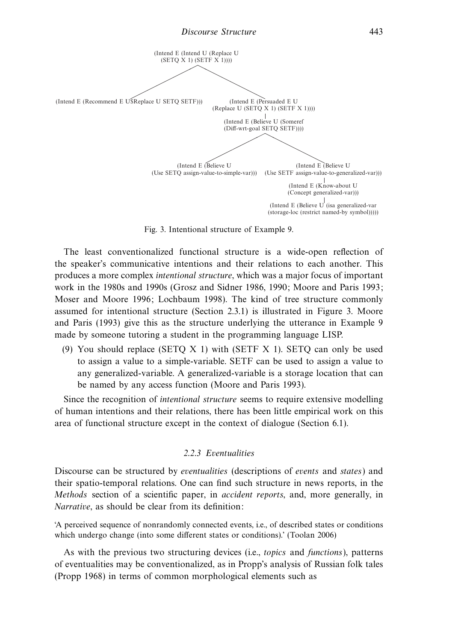

Fig. 3. Intentional structure of Example 9.

The least conventionalized functional structure is a wide-open reflection of the speaker's communicative intentions and their relations to each another. This produces a more complex intentional structure, which was a major focus of important work in the 1980s and 1990s (Grosz and Sidner 1986, 1990; Moore and Paris 1993; Moser and Moore 1996; Lochbaum 1998). The kind of tree structure commonly assumed for intentional structure (Section 2.3.1) is illustrated in Figure 3. Moore and Paris (1993) give this as the structure underlying the utterance in Example 9 made by someone tutoring a student in the programming language LISP.

(9) You should replace (SETQ  $X$  1) with (SETF  $X$  1). SETQ can only be used to assign a value to a simple-variable. SETF can be used to assign a value to any generalized-variable. A generalized-variable is a storage location that can be named by any access function (Moore and Paris 1993).

Since the recognition of intentional structure seems to require extensive modelling of human intentions and their relations, there has been little empirical work on this area of functional structure except in the context of dialogue (Section 6.1).

## 2.2.3 Eventualities

Discourse can be structured by eventualities (descriptions of events and states) and their spatio-temporal relations. One can find such structure in news reports, in the Methods section of a scientific paper, in accident reports, and, more generally, in Narrative, as should be clear from its definition:

'A perceived sequence of nonrandomly connected events, i.e., of described states or conditions which undergo change (into some different states or conditions).' (Toolan 2006)

As with the previous two structuring devices (i.e., topics and functions), patterns of eventualities may be conventionalized, as in Propp's analysis of Russian folk tales (Propp 1968) in terms of common morphological elements such as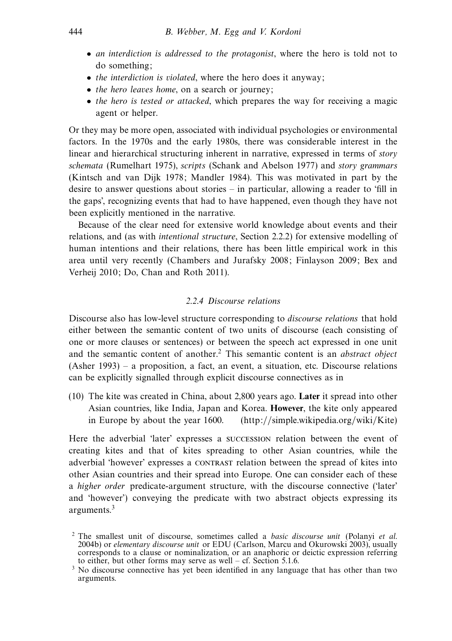- an interdiction is addressed to the protagonist, where the hero is told not to do something;
- the interdiction is violated, where the hero does it anyway;
- the hero leaves home, on a search or journey;
- the hero is tested or attacked, which prepares the way for receiving a magic agent or helper.

Or they may be more open, associated with individual psychologies or environmental factors. In the 1970s and the early 1980s, there was considerable interest in the linear and hierarchical structuring inherent in narrative, expressed in terms of story schemata (Rumelhart 1975), scripts (Schank and Abelson 1977) and story grammars (Kintsch and van Dijk 1978; Mandler 1984). This was motivated in part by the desire to answer questions about stories – in particular, allowing a reader to 'fill in the gaps', recognizing events that had to have happened, even though they have not been explicitly mentioned in the narrative.

Because of the clear need for extensive world knowledge about events and their relations, and (as with intentional structure, Section 2.2.2) for extensive modelling of human intentions and their relations, there has been little empirical work in this area until very recently (Chambers and Jurafsky 2008; Finlayson 2009; Bex and Verheij 2010; Do, Chan and Roth 2011).

## 2.2.4 Discourse relations

Discourse also has low-level structure corresponding to discourse relations that hold either between the semantic content of two units of discourse (each consisting of one or more clauses or sentences) or between the speech act expressed in one unit and the semantic content of another.<sup>2</sup> This semantic content is an *abstract object* (Asher 1993) – a proposition, a fact, an event, a situation, etc. Discourse relations can be explicitly signalled through explicit discourse connectives as in

(10) The kite was created in China, about 2,800 years ago. **Later** it spread into other Asian countries, like India, Japan and Korea. **However**, the kite only appeared in Europe by about the year 1600. (http://simple.wikipedia.org/wiki/Kite)

Here the adverbial 'later' expresses a succession relation between the event of creating kites and that of kites spreading to other Asian countries, while the adverbial 'however' expresses a CONTRAST relation between the spread of kites into other Asian countries and their spread into Europe. One can consider each of these a higher order predicate-argument structure, with the discourse connective ('later' and 'however') conveying the predicate with two abstract objects expressing its arguments.3

<sup>&</sup>lt;sup>2</sup> The smallest unit of discourse, sometimes called a *basic discourse unit* (Polanyi *et al.*) 2004b) or elementary discourse unit or EDU (Carlson, Marcu and Okurowski 2003), usually corresponds to a clause or nominalization, or an anaphoric or deictic expression referring to either, but other forms may serve as well – cf. Section 5.1.6.

<sup>&</sup>lt;sup>3</sup> No discourse connective has yet been identified in any language that has other than two arguments.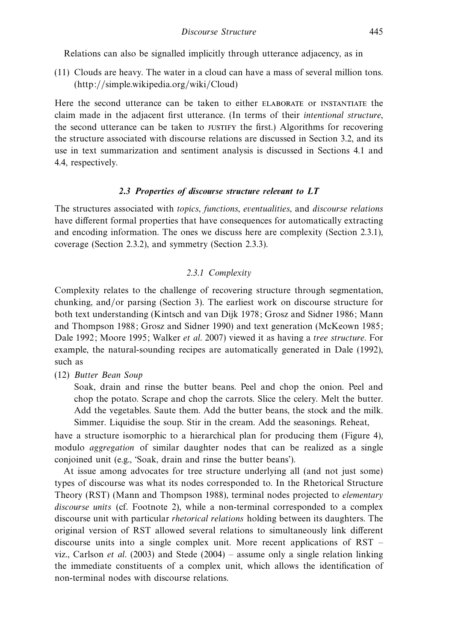Relations can also be signalled implicitly through utterance adjacency, as in

(11) Clouds are heavy. The water in a cloud can have a mass of several million tons. (http://simple.wikipedia.org/wiki/Cloud)

Here the second utterance can be taken to either elaborate or instantiate the claim made in the adjacent first utterance. (In terms of their intentional structure, the second utterance can be taken to justify the first.) Algorithms for recovering the structure associated with discourse relations are discussed in Section 3.2, and its use in text summarization and sentiment analysis is discussed in Sections 4.1 and 4.4, respectively.

#### *2.3 Properties of discourse structure relevant to LT*

The structures associated with topics, functions, eventualities, and discourse relations have different formal properties that have consequences for automatically extracting and encoding information. The ones we discuss here are complexity (Section 2.3.1), coverage (Section 2.3.2), and symmetry (Section 2.3.3).

## 2.3.1 Complexity

Complexity relates to the challenge of recovering structure through segmentation, chunking, and/or parsing (Section 3). The earliest work on discourse structure for both text understanding (Kintsch and van Dijk 1978; Grosz and Sidner 1986; Mann and Thompson 1988; Grosz and Sidner 1990) and text generation (McKeown 1985; Dale 1992; Moore 1995; Walker et al. 2007) viewed it as having a tree structure. For example, the natural-sounding recipes are automatically generated in Dale (1992), such as

(12) Butter Bean Soup

Soak, drain and rinse the butter beans. Peel and chop the onion. Peel and chop the potato. Scrape and chop the carrots. Slice the celery. Melt the butter. Add the vegetables. Saute them. Add the butter beans, the stock and the milk. Simmer. Liquidise the soup. Stir in the cream. Add the seasonings. Reheat,

have a structure isomorphic to a hierarchical plan for producing them (Figure 4), modulo aggregation of similar daughter nodes that can be realized as a single conjoined unit (e.g., 'Soak, drain and rinse the butter beans').

At issue among advocates for tree structure underlying all (and not just some) types of discourse was what its nodes corresponded to. In the Rhetorical Structure Theory (RST) (Mann and Thompson 1988), terminal nodes projected to elementary discourse units (cf. Footnote 2), while a non-terminal corresponded to a complex discourse unit with particular rhetorical relations holding between its daughters. The original version of RST allowed several relations to simultaneously link different discourse units into a single complex unit. More recent applications of RST – viz., Carlson *et al.* (2003) and Stede (2004) – assume only a single relation linking the immediate constituents of a complex unit, which allows the identification of non-terminal nodes with discourse relations.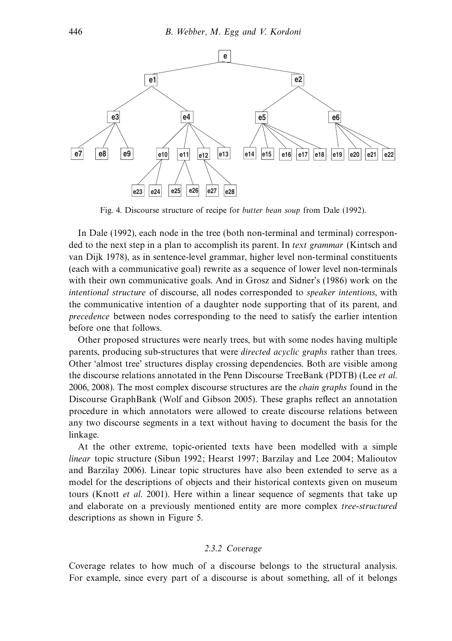

Fig. 4. Discourse structure of recipe for butter bean soup from Dale (1992).

In Dale (1992), each node in the tree (both non-terminal and terminal) corresponded to the next step in a plan to accomplish its parent. In text grammar (Kintsch and van Dijk 1978), as in sentence-level grammar, higher level non-terminal constituents (each with a communicative goal) rewrite as a sequence of lower level non-terminals with their own communicative goals. And in Grosz and Sidner's (1986) work on the intentional structure of discourse, all nodes corresponded to speaker intentions, with the communicative intention of a daughter node supporting that of its parent, and precedence between nodes corresponding to the need to satisfy the earlier intention before one that follows.

Other proposed structures were nearly trees, but with some nodes having multiple parents, producing sub-structures that were directed acyclic graphs rather than trees. Other 'almost tree' structures display crossing dependencies. Both are visible among the discourse relations annotated in the Penn Discourse TreeBank (PDTB) (Lee et al. 2006, 2008). The most complex discourse structures are the chain graphs found in the Discourse GraphBank (Wolf and Gibson 2005). These graphs reflect an annotation procedure in which annotators were allowed to create discourse relations between any two discourse segments in a text without having to document the basis for the linkage.

At the other extreme, topic-oriented texts have been modelled with a simple linear topic structure (Sibun 1992; Hearst 1997; Barzilay and Lee 2004; Malioutov and Barzilay 2006). Linear topic structures have also been extended to serve as a model for the descriptions of objects and their historical contexts given on museum tours (Knott et al. 2001). Here within a linear sequence of segments that take up and elaborate on a previously mentioned entity are more complex tree-structured descriptions as shown in Figure 5.

#### 2.3.2 Coverage

Coverage relates to how much of a discourse belongs to the structural analysis. For example, since every part of a discourse is about something, all of it belongs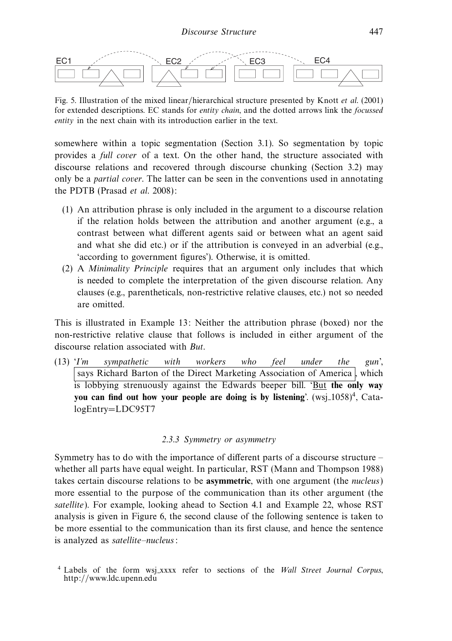

Fig. 5. Illustration of the mixed linear/hierarchical structure presented by Knott et al. (2001) for extended descriptions. EC stands for entity chain, and the dotted arrows link the focussed entity in the next chain with its introduction earlier in the text.

somewhere within a topic segmentation (Section 3.1). So segmentation by topic provides a full cover of a text. On the other hand, the structure associated with discourse relations and recovered through discourse chunking (Section 3.2) may only be a partial cover. The latter can be seen in the conventions used in annotating the PDTB (Prasad et al. 2008):

- (1) An attribution phrase is only included in the argument to a discourse relation if the relation holds between the attribution and another argument (e.g., a contrast between what different agents said or between what an agent said and what she did etc.) or if the attribution is conveyed in an adverbial (e.g., 'according to government figures'). Otherwise, it is omitted.
- (2) A Minimality Principle requires that an argument only includes that which is needed to complete the interpretation of the given discourse relation. Any clauses (e.g., parentheticals, non-restrictive relative clauses, etc.) not so needed are omitted.

This is illustrated in Example 13: Neither the attribution phrase (boxed) nor the non-restrictive relative clause that follows is included in either argument of the discourse relation associated with But.

 $(13)$   $T<sub>m</sub>$  sympathetic with workers who feel under the gun', says Richard Barton of the Direct Marketing Association of America , which is lobbying strenuously against the Edwards beeper bill. 'But **the only way you can find out how your people are doing is by listening**'. (wsj<sub>-1058)</sub><sup>4</sup>, CatalogEntry=LDC95T7

#### 2.3.3 Symmetry or asymmetry

Symmetry has to do with the importance of different parts of a discourse structure – whether all parts have equal weight. In particular, RST (Mann and Thompson 1988) takes certain discourse relations to be **asymmetric**, with one argument (the nucleus) more essential to the purpose of the communication than its other argument (the satellite). For example, looking ahead to Section 4.1 and Example 22, whose RST analysis is given in Figure 6, the second clause of the following sentence is taken to be more essential to the communication than its first clause, and hence the sentence is analyzed as satellite–nucleus:

<sup>4</sup> Labels of the form wsj xxxx refer to sections of the Wall Street Journal Corpus, http://www.ldc.upenn.edu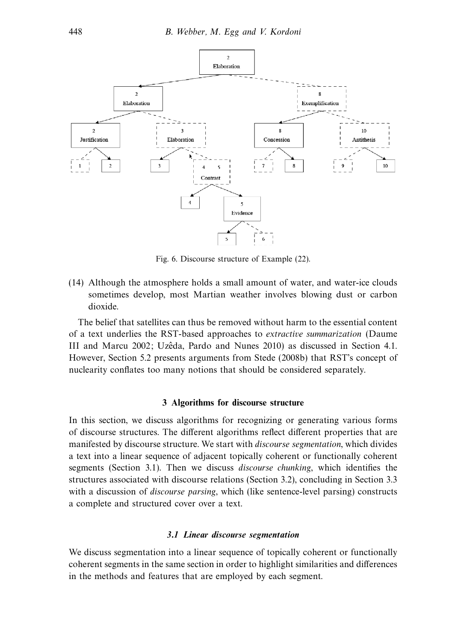

Fig. 6. Discourse structure of Example (22).

(14) Although the atmosphere holds a small amount of water, and water-ice clouds sometimes develop, most Martian weather involves blowing dust or carbon dioxide.

The belief that satellites can thus be removed without harm to the essential content of a text underlies the RST-based approaches to extractive summarization (Daume III and Marcu  $2002$ ; Uzêda, Pardo and Nunes  $2010$ ) as discussed in Section 4.1. However, Section 5.2 presents arguments from Stede (2008b) that RST's concept of nuclearity conflates too many notions that should be considered separately.

#### **3 Algorithms for discourse structure**

In this section, we discuss algorithms for recognizing or generating various forms of discourse structures. The different algorithms reflect different properties that are manifested by discourse structure. We start with discourse segmentation, which divides a text into a linear sequence of adjacent topically coherent or functionally coherent segments (Section 3.1). Then we discuss discourse chunking, which identifies the structures associated with discourse relations (Section 3.2), concluding in Section 3.3 with a discussion of *discourse parsing*, which (like sentence-level parsing) constructs a complete and structured cover over a text.

#### *3.1 Linear discourse segmentation*

We discuss segmentation into a linear sequence of topically coherent or functionally coherent segments in the same section in order to highlight similarities and differences in the methods and features that are employed by each segment.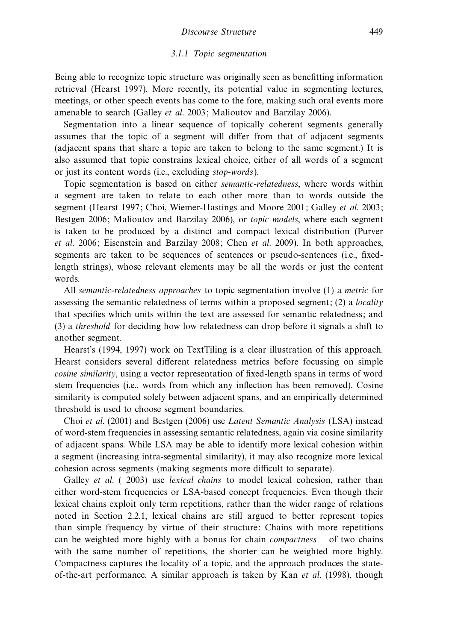### 3.1.1 Topic segmentation

Being able to recognize topic structure was originally seen as benefitting information retrieval (Hearst 1997). More recently, its potential value in segmenting lectures, meetings, or other speech events has come to the fore, making such oral events more amenable to search (Galley et al. 2003; Malioutov and Barzilay 2006).

Segmentation into a linear sequence of topically coherent segments generally assumes that the topic of a segment will differ from that of adjacent segments (adjacent spans that share a topic are taken to belong to the same segment.) It is also assumed that topic constrains lexical choice, either of all words of a segment or just its content words (i.e., excluding stop-words).

Topic segmentation is based on either semantic-relatedness, where words within a segment are taken to relate to each other more than to words outside the segment (Hearst 1997; Choi, Wiemer-Hastings and Moore 2001; Galley et al. 2003; Bestgen 2006; Malioutov and Barzilay 2006), or topic models, where each segment is taken to be produced by a distinct and compact lexical distribution (Purver et al. 2006; Eisenstein and Barzilay 2008; Chen et al. 2009). In both approaches, segments are taken to be sequences of sentences or pseudo-sentences (i.e., fixedlength strings), whose relevant elements may be all the words or just the content words.

All semantic-relatedness approaches to topic segmentation involve (1) a metric for assessing the semantic relatedness of terms within a proposed segment; (2) a locality that specifies which units within the text are assessed for semantic relatedness; and (3) a threshold for deciding how low relatedness can drop before it signals a shift to another segment.

Hearst's (1994, 1997) work on TextTiling is a clear illustration of this approach. Hearst considers several different relatedness metrics before focussing on simple cosine similarity, using a vector representation of fixed-length spans in terms of word stem frequencies (i.e., words from which any inflection has been removed). Cosine similarity is computed solely between adjacent spans, and an empirically determined threshold is used to choose segment boundaries.

Choi et al. (2001) and Bestgen (2006) use Latent Semantic Analysis (LSA) instead of word-stem frequencies in assessing semantic relatedness, again via cosine similarity of adjacent spans. While LSA may be able to identify more lexical cohesion within a segment (increasing intra-segmental similarity), it may also recognize more lexical cohesion across segments (making segments more difficult to separate).

Galley et al. (2003) use lexical chains to model lexical cohesion, rather than either word-stem frequencies or LSA-based concept frequencies. Even though their lexical chains exploit only term repetitions, rather than the wider range of relations noted in Section 2.2.1, lexical chains are still argued to better represent topics than simple frequency by virtue of their structure: Chains with more repetitions can be weighted more highly with a bonus for chain *compactness*  $-$  of two chains with the same number of repetitions, the shorter can be weighted more highly. Compactness captures the locality of a topic, and the approach produces the stateof-the-art performance. A similar approach is taken by Kan et al. (1998), though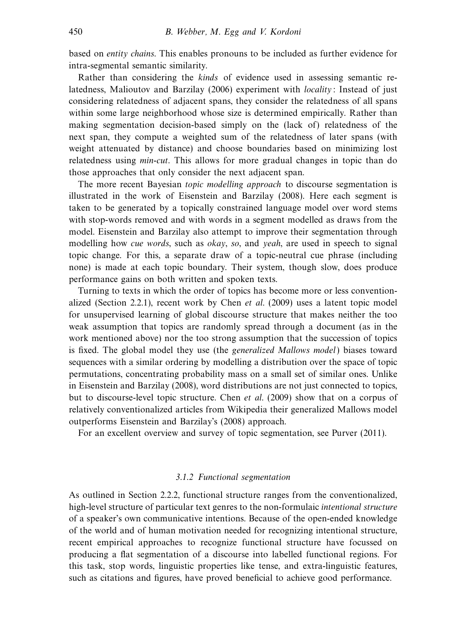based on entity chains. This enables pronouns to be included as further evidence for intra-segmental semantic similarity.

Rather than considering the kinds of evidence used in assessing semantic relatedness, Malioutov and Barzilay (2006) experiment with locality: Instead of just considering relatedness of adjacent spans, they consider the relatedness of all spans within some large neighborhood whose size is determined empirically. Rather than making segmentation decision-based simply on the (lack of) relatedness of the next span, they compute a weighted sum of the relatedness of later spans (with weight attenuated by distance) and choose boundaries based on minimizing lost relatedness using min-cut. This allows for more gradual changes in topic than do those approaches that only consider the next adjacent span.

The more recent Bayesian *topic modelling approach* to discourse segmentation is illustrated in the work of Eisenstein and Barzilay (2008). Here each segment is taken to be generated by a topically constrained language model over word stems with stop-words removed and with words in a segment modelled as draws from the model. Eisenstein and Barzilay also attempt to improve their segmentation through modelling how cue words, such as okay, so, and yeah, are used in speech to signal topic change. For this, a separate draw of a topic-neutral cue phrase (including none) is made at each topic boundary. Their system, though slow, does produce performance gains on both written and spoken texts.

Turning to texts in which the order of topics has become more or less conventionalized (Section 2.2.1), recent work by Chen et al. (2009) uses a latent topic model for unsupervised learning of global discourse structure that makes neither the too weak assumption that topics are randomly spread through a document (as in the work mentioned above) nor the too strong assumption that the succession of topics is fixed. The global model they use (the generalized Mallows model) biases toward sequences with a similar ordering by modelling a distribution over the space of topic permutations, concentrating probability mass on a small set of similar ones. Unlike in Eisenstein and Barzilay (2008), word distributions are not just connected to topics, but to discourse-level topic structure. Chen et al. (2009) show that on a corpus of relatively conventionalized articles from Wikipedia their generalized Mallows model outperforms Eisenstein and Barzilay's (2008) approach.

For an excellent overview and survey of topic segmentation, see Purver (2011).

## 3.1.2 Functional segmentation

As outlined in Section 2.2.2, functional structure ranges from the conventionalized, high-level structure of particular text genres to the non-formulaic intentional structure of a speaker's own communicative intentions. Because of the open-ended knowledge of the world and of human motivation needed for recognizing intentional structure, recent empirical approaches to recognize functional structure have focussed on producing a flat segmentation of a discourse into labelled functional regions. For this task, stop words, linguistic properties like tense, and extra-linguistic features, such as citations and figures, have proved beneficial to achieve good performance.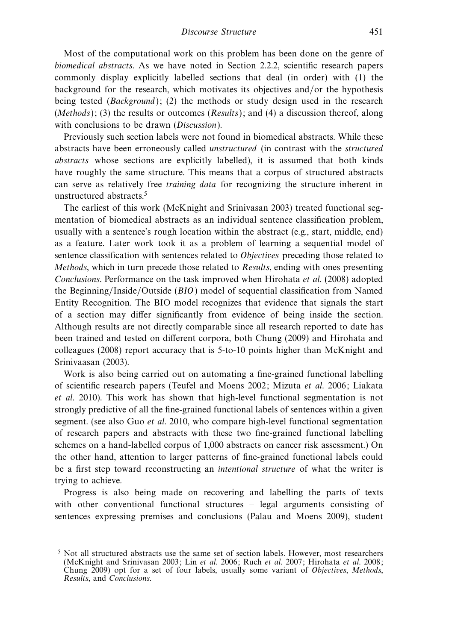Most of the computational work on this problem has been done on the genre of biomedical abstracts. As we have noted in Section 2.2.2, scientific research papers commonly display explicitly labelled sections that deal (in order) with (1) the background for the research, which motivates its objectives and/or the hypothesis being tested (Background); (2) the methods or study design used in the research (*Methods*); (3) the results or outcomes (*Results*); and (4) a discussion thereof, along with conclusions to be drawn *(Discussion)*.

Previously such section labels were not found in biomedical abstracts. While these abstracts have been erroneously called unstructured (in contrast with the structured abstracts whose sections are explicitly labelled), it is assumed that both kinds have roughly the same structure. This means that a corpus of structured abstracts can serve as relatively free training data for recognizing the structure inherent in unstructured abstracts.<sup>5</sup>

The earliest of this work (McKnight and Srinivasan 2003) treated functional segmentation of biomedical abstracts as an individual sentence classification problem, usually with a sentence's rough location within the abstract (e.g., start, middle, end) as a feature. Later work took it as a problem of learning a sequential model of sentence classification with sentences related to *Objectives* preceding those related to Methods, which in turn precede those related to Results, ending with ones presenting Conclusions. Performance on the task improved when Hirohata et al. (2008) adopted the Beginning/Inside/Outside (BIO) model of sequential classification from Named Entity Recognition. The BIO model recognizes that evidence that signals the start of a section may differ significantly from evidence of being inside the section. Although results are not directly comparable since all research reported to date has been trained and tested on different corpora, both Chung (2009) and Hirohata and colleagues (2008) report accuracy that is 5-to-10 points higher than McKnight and Srinivaasan (2003).

Work is also being carried out on automating a fine-grained functional labelling of scientific research papers (Teufel and Moens 2002; Mizuta et al. 2006; Liakata et al. 2010). This work has shown that high-level functional segmentation is not strongly predictive of all the fine-grained functional labels of sentences within a given segment. (see also Guo *et al.* 2010, who compare high-level functional segmentation of research papers and abstracts with these two fine-grained functional labelling schemes on a hand-labelled corpus of 1,000 abstracts on cancer risk assessment.) On the other hand, attention to larger patterns of fine-grained functional labels could be a first step toward reconstructing an intentional structure of what the writer is trying to achieve.

Progress is also being made on recovering and labelling the parts of texts with other conventional functional structures – legal arguments consisting of sentences expressing premises and conclusions (Palau and Moens 2009), student

<sup>&</sup>lt;sup>5</sup> Not all structured abstracts use the same set of section labels. However, most researchers (McKnight and Srinivasan 2003; Lin et al. 2006; Ruch et al. 2007; Hirohata et al. 2008; Chung 2009) opt for a set of four labels, usually some variant of Objectives, Methods, Results, and Conclusions.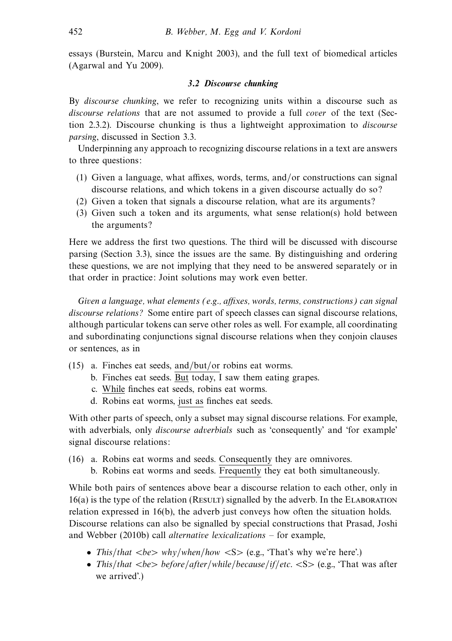essays (Burstein, Marcu and Knight 2003), and the full text of biomedical articles (Agarwal and Yu 2009).

## *3.2 Discourse chunking*

By discourse chunking, we refer to recognizing units within a discourse such as discourse relations that are not assumed to provide a full cover of the text (Section 2.3.2). Discourse chunking is thus a lightweight approximation to discourse parsing, discussed in Section 3.3.

Underpinning any approach to recognizing discourse relations in a text are answers to three questions:

- (1) Given a language, what affixes, words, terms, and/or constructions can signal discourse relations, and which tokens in a given discourse actually do so?
- (2) Given a token that signals a discourse relation, what are its arguments?
- (3) Given such a token and its arguments, what sense relation(s) hold between the arguments?

Here we address the first two questions. The third will be discussed with discourse parsing (Section 3.3), since the issues are the same. By distinguishing and ordering these questions, we are not implying that they need to be answered separately or in that order in practice: Joint solutions may work even better.

Given a language, what elements (e.g., affixes, words, terms, constructions) can signal discourse relations? Some entire part of speech classes can signal discourse relations, although particular tokens can serve other roles as well. For example, all coordinating and subordinating conjunctions signal discourse relations when they conjoin clauses or sentences, as in

- (15) a. Finches eat seeds, and/but/or robins eat worms.
	- b. Finches eat seeds. But today, I saw them eating grapes.
	- c. While finches eat seeds, robins eat worms.
	- d. Robins eat worms, just as finches eat seeds.

With other parts of speech, only a subset may signal discourse relations. For example, with adverbials, only discourse adverbials such as 'consequently' and 'for example' signal discourse relations:

- (16) a. Robins eat worms and seeds. Consequently they are omnivores.
	- b. Robins eat worms and seeds. Frequently they eat both simultaneously.

While both pairs of sentences above bear a discourse relation to each other, only in  $16(a)$  is the type of the relation (RESULT) signalled by the adverb. In the ELABORATION relation expressed in 16(b), the adverb just conveys how often the situation holds. Discourse relations can also be signalled by special constructions that Prasad, Joshi and Webber (2010b) call alternative lexicalizations – for example,

- This/that  $\langle be \rangle$  why/when/how  $\langle S \rangle$  (e.g., 'That's why we're here'.)
- *This/that <be> before/after/while/because/if/etc. <S> (e.g., 'That was after* we arrived'.)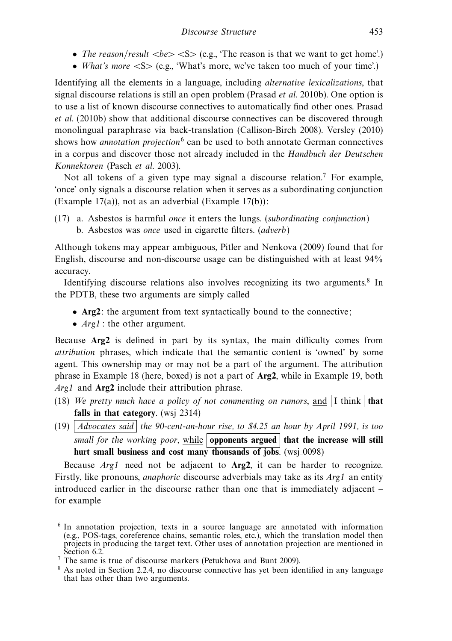- The reason/result  $\langle be \rangle \langle$ S  $\rangle$  (e.g., 'The reason is that we want to get home'.)
- *What's more*  $\langle S \rangle$  (e.g., 'What's more, we've taken too much of your time'.)

Identifying all the elements in a language, including alternative lexicalizations, that signal discourse relations is still an open problem (Prasad *et al.* 2010b). One option is to use a list of known discourse connectives to automatically find other ones. Prasad et al. (2010b) show that additional discourse connectives can be discovered through monolingual paraphrase via back-translation (Callison-Birch 2008). Versley (2010) shows how *annotation projection*<sup>6</sup> can be used to both annotate German connectives in a corpus and discover those not already included in the Handbuch der Deutschen Konnektoren (Pasch et al. 2003).

Not all tokens of a given type may signal a discourse relation.<sup>7</sup> For example, 'once' only signals a discourse relation when it serves as a subordinating conjunction (Example 17(a)), not as an adverbial (Example 17(b)):

(17) a. Asbestos is harmful once it enters the lungs. (subordinating conjunction) b. Asbestos was once used in cigarette filters. (adverb)

Although tokens may appear ambiguous, Pitler and Nenkova (2009) found that for English, discourse and non-discourse usage can be distinguished with at least 94% accuracy.

Identifying discourse relations also involves recognizing its two arguments.<sup>8</sup> In the PDTB, these two arguments are simply called

- **Arg2**: the argument from text syntactically bound to the connective;
- *Arg1* : the other argument.

Because **Arg2** is defined in part by its syntax, the main difficulty comes from attribution phrases, which indicate that the semantic content is 'owned' by some agent. This ownership may or may not be a part of the argument. The attribution phrase in Example 18 (here, boxed) is not a part of **Arg2**, while in Example 19, both Arg1 and **Arg2** include their attribution phrase.

- (18) We pretty much have a policy of not commenting on rumors, and  $\vert$ I think  $\vert$  that **falls in that category.** (wsj<sub>-2314)</sub>
- (19)  $\vert$  Advocates said  $\vert$  the 90-cent-an-hour rise, to \$4.25 an hour by April 1991, is too small for the working poor, while **opponents argued that the increase will still** hurt small business and cost many thousands of jobs. (wsj<sub>-0098)</sub>

Because Arg1 need not be adjacent to **Arg2**, it can be harder to recognize. Firstly, like pronouns, anaphoric discourse adverbials may take as its Arg1 an entity introduced earlier in the discourse rather than one that is immediately adjacent – for example

<sup>6</sup> In annotation projection, texts in a source language are annotated with information (e.g., POS-tags, coreference chains, semantic roles, etc.), which the translation model then projects in producing the target text. Other uses of annotation projection are mentioned in Section 6.2.

<sup>7</sup> The same is true of discourse markers (Petukhova and Bunt 2009).

<sup>8</sup> As noted in Section 2.2.4, no discourse connective has yet been identified in any language that has other than two arguments.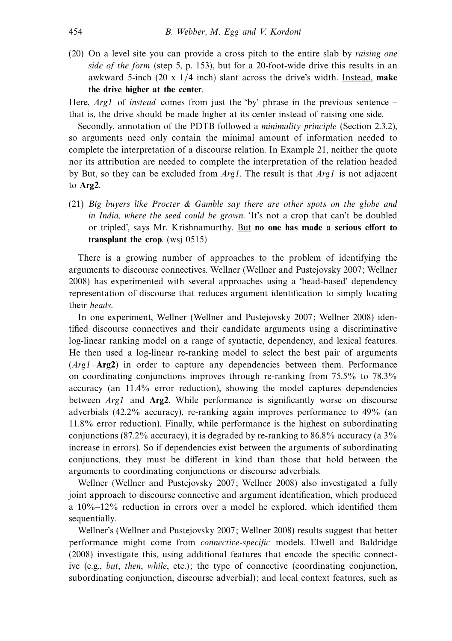(20) On a level site you can provide a cross pitch to the entire slab by raising one side of the form (step 5, p. 153), but for a 20-foot-wide drive this results in an awkward 5-inch (20 x 1/4 inch) slant across the drive's width. Instead, **make the drive higher at the center**.

Here,  $Arg1$  of instead comes from just the 'by' phrase in the previous sentence – that is, the drive should be made higher at its center instead of raising one side.

Secondly, annotation of the PDTB followed a minimality principle (Section 2.3.2), so arguments need only contain the minimal amount of information needed to complete the interpretation of a discourse relation. In Example 21, neither the quote nor its attribution are needed to complete the interpretation of the relation headed by But, so they can be excluded from  $Arg1$ . The result is that  $Arg1$  is not adjacent to **Arg2**.

(21) Big buyers like Procter & Gamble say there are other spots on the globe and in India, where the seed could be grown. 'It's not a crop that can't be doubled or tripled', says Mr. Krishnamurthy. But **no one has made a serious effort to transplant the crop.**  $(wsi_0.0515)$ 

There is a growing number of approaches to the problem of identifying the arguments to discourse connectives. Wellner (Wellner and Pustejovsky 2007; Wellner 2008) has experimented with several approaches using a 'head-based' dependency representation of discourse that reduces argument identification to simply locating their heads.

In one experiment, Wellner (Wellner and Pustejovsky 2007; Wellner 2008) identified discourse connectives and their candidate arguments using a discriminative log-linear ranking model on a range of syntactic, dependency, and lexical features. He then used a log-linear re-ranking model to select the best pair of arguments (Arg1 –**Arg2**) in order to capture any dependencies between them. Performance on coordinating conjunctions improves through re-ranking from 75.5% to 78.3% accuracy (an 11.4% error reduction), showing the model captures dependencies between Arg1 and **Arg2**. While performance is significantly worse on discourse adverbials (42.2% accuracy), re-ranking again improves performance to 49% (an 11.8% error reduction). Finally, while performance is the highest on subordinating conjunctions (87.2% accuracy), it is degraded by re-ranking to 86.8% accuracy (a 3% increase in errors). So if dependencies exist between the arguments of subordinating conjunctions, they must be different in kind than those that hold between the arguments to coordinating conjunctions or discourse adverbials.

Wellner (Wellner and Pustejovsky 2007; Wellner 2008) also investigated a fully joint approach to discourse connective and argument identification, which produced a 10%–12% reduction in errors over a model he explored, which identified them sequentially.

Wellner's (Wellner and Pustejovsky 2007; Wellner 2008) results suggest that better performance might come from connective-specific models. Elwell and Baldridge (2008) investigate this, using additional features that encode the specific connective (e.g., but, then, while, etc.); the type of connective (coordinating conjunction, subordinating conjunction, discourse adverbial); and local context features, such as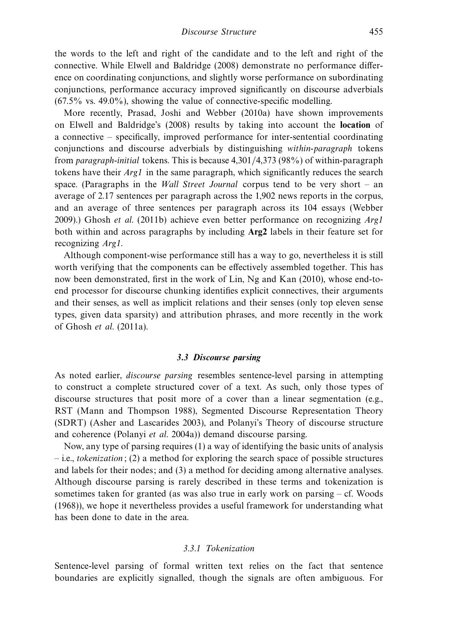the words to the left and right of the candidate and to the left and right of the connective. While Elwell and Baldridge (2008) demonstrate no performance difference on coordinating conjunctions, and slightly worse performance on subordinating conjunctions, performance accuracy improved significantly on discourse adverbials  $(67.5\% \text{ vs. } 49.0\%)$ , showing the value of connective-specific modelling.

More recently, Prasad, Joshi and Webber (2010a) have shown improvements on Elwell and Baldridge's (2008) results by taking into account the **location** of a connective – specifically, improved performance for inter-sentential coordinating conjunctions and discourse adverbials by distinguishing within-paragraph tokens from paragraph-initial tokens. This is because 4,301/4,373 (98%) of within-paragraph tokens have their Arg1 in the same paragraph, which significantly reduces the search space. (Paragraphs in the Wall Street Journal corpus tend to be very short – an average of 2.17 sentences per paragraph across the 1,902 news reports in the corpus, and an average of three sentences per paragraph across its 104 essays (Webber 2009).) Ghosh et al. (2011b) achieve even better performance on recognizing  $Arg1$ both within and across paragraphs by including **Arg2** labels in their feature set for recognizing Arg1.

Although component-wise performance still has a way to go, nevertheless it is still worth verifying that the components can be effectively assembled together. This has now been demonstrated, first in the work of Lin, Ng and Kan (2010), whose end-toend processor for discourse chunking identifies explicit connectives, their arguments and their senses, as well as implicit relations and their senses (only top eleven sense types, given data sparsity) and attribution phrases, and more recently in the work of Ghosh et al. (2011a).

## *3.3 Discourse parsing*

As noted earlier, discourse parsing resembles sentence-level parsing in attempting to construct a complete structured cover of a text. As such, only those types of discourse structures that posit more of a cover than a linear segmentation (e.g., RST (Mann and Thompson 1988), Segmented Discourse Representation Theory (SDRT) (Asher and Lascarides 2003), and Polanyi's Theory of discourse structure and coherence (Polanyi et al. 2004a)) demand discourse parsing.

Now, any type of parsing requires (1) a way of identifying the basic units of analysis – i.e., tokenization; (2) a method for exploring the search space of possible structures and labels for their nodes; and (3) a method for deciding among alternative analyses. Although discourse parsing is rarely described in these terms and tokenization is sometimes taken for granted (as was also true in early work on parsing – cf. Woods (1968)), we hope it nevertheless provides a useful framework for understanding what has been done to date in the area.

#### 3.3.1 Tokenization

Sentence-level parsing of formal written text relies on the fact that sentence boundaries are explicitly signalled, though the signals are often ambiguous. For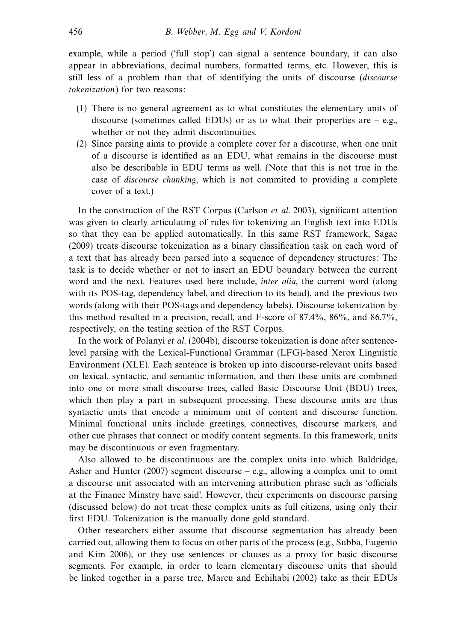example, while a period ('full stop') can signal a sentence boundary, it can also appear in abbreviations, decimal numbers, formatted terms, etc. However, this is still less of a problem than that of identifying the units of discourse (discourse tokenization) for two reasons:

- (1) There is no general agreement as to what constitutes the elementary units of discourse (sometimes called EDUs) or as to what their properties are  $-e.g.,$ whether or not they admit discontinuities.
- (2) Since parsing aims to provide a complete cover for a discourse, when one unit of a discourse is identified as an EDU, what remains in the discourse must also be describable in EDU terms as well. (Note that this is not true in the case of discourse chunking, which is not commited to providing a complete cover of a text.)

In the construction of the RST Corpus (Carlson *et al.* 2003), significant attention was given to clearly articulating of rules for tokenizing an English text into EDUs so that they can be applied automatically. In this same RST framework, Sagae (2009) treats discourse tokenization as a binary classification task on each word of a text that has already been parsed into a sequence of dependency structures: The task is to decide whether or not to insert an EDU boundary between the current word and the next. Features used here include, *inter alia*, the current word (along with its POS-tag, dependency label, and direction to its head), and the previous two words (along with their POS-tags and dependency labels). Discourse tokenization by this method resulted in a precision, recall, and F-score of 87.4%, 86%, and 86.7%, respectively, on the testing section of the RST Corpus.

In the work of Polanyi *et al.* (2004b), discourse tokenization is done after sentencelevel parsing with the Lexical-Functional Grammar (LFG)-based Xerox Linguistic Environment (XLE). Each sentence is broken up into discourse-relevant units based on lexical, syntactic, and semantic information, and then these units are combined into one or more small discourse trees, called Basic Discourse Unit (BDU) trees, which then play a part in subsequent processing. These discourse units are thus syntactic units that encode a minimum unit of content and discourse function. Minimal functional units include greetings, connectives, discourse markers, and other cue phrases that connect or modify content segments. In this framework, units may be discontinuous or even fragmentary.

Also allowed to be discontinuous are the complex units into which Baldridge, Asher and Hunter (2007) segment discourse – e.g., allowing a complex unit to omit a discourse unit associated with an intervening attribution phrase such as 'officials at the Finance Minstry have said'. However, their experiments on discourse parsing (discussed below) do not treat these complex units as full citizens, using only their first EDU. Tokenization is the manually done gold standard.

Other researchers either assume that discourse segmentation has already been carried out, allowing them to focus on other parts of the process (e.g., Subba, Eugenio and Kim 2006), or they use sentences or clauses as a proxy for basic discourse segments. For example, in order to learn elementary discourse units that should be linked together in a parse tree, Marcu and Echihabi (2002) take as their EDUs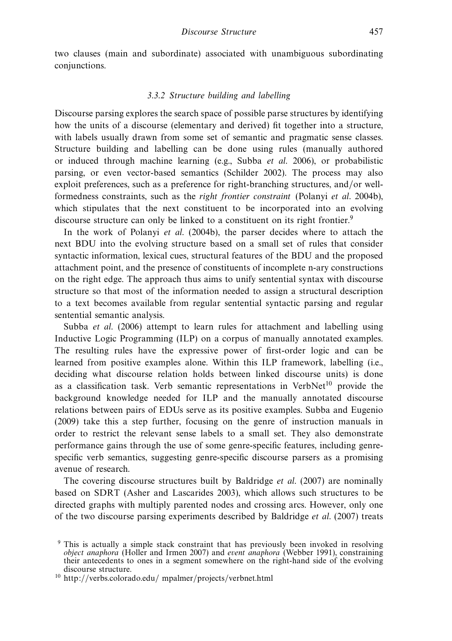two clauses (main and subordinate) associated with unambiguous subordinating conjunctions.

### 3.3.2 Structure building and labelling

Discourse parsing explores the search space of possible parse structures by identifying how the units of a discourse (elementary and derived) fit together into a structure, with labels usually drawn from some set of semantic and pragmatic sense classes. Structure building and labelling can be done using rules (manually authored or induced through machine learning (e.g., Subba et al. 2006), or probabilistic parsing, or even vector-based semantics (Schilder 2002). The process may also exploit preferences, such as a preference for right-branching structures, and/or wellformedness constraints, such as the right frontier constraint (Polanyi et al. 2004b), which stipulates that the next constituent to be incorporated into an evolving discourse structure can only be linked to a constituent on its right frontier.<sup>9</sup>

In the work of Polanyi et al.  $(2004b)$ , the parser decides where to attach the next BDU into the evolving structure based on a small set of rules that consider syntactic information, lexical cues, structural features of the BDU and the proposed attachment point, and the presence of constituents of incomplete n-ary constructions on the right edge. The approach thus aims to unify sentential syntax with discourse structure so that most of the information needed to assign a structural description to a text becomes available from regular sentential syntactic parsing and regular sentential semantic analysis.

Subba *et al.* (2006) attempt to learn rules for attachment and labelling using Inductive Logic Programming (ILP) on a corpus of manually annotated examples. The resulting rules have the expressive power of first-order logic and can be learned from positive examples alone. Within this ILP framework, labelling (i.e., deciding what discourse relation holds between linked discourse units) is done as a classification task. Verb semantic representations in Verb $Net^{10}$  provide the background knowledge needed for ILP and the manually annotated discourse relations between pairs of EDUs serve as its positive examples. Subba and Eugenio (2009) take this a step further, focusing on the genre of instruction manuals in order to restrict the relevant sense labels to a small set. They also demonstrate performance gains through the use of some genre-specific features, including genrespecific verb semantics, suggesting genre-specific discourse parsers as a promising avenue of research.

The covering discourse structures built by Baldridge *et al.* (2007) are nominally based on SDRT (Asher and Lascarides 2003), which allows such structures to be directed graphs with multiply parented nodes and crossing arcs. However, only one of the two discourse parsing experiments described by Baldridge et al. (2007) treats

<sup>9</sup> This is actually a simple stack constraint that has previously been invoked in resolving object anaphora (Holler and Irmen 2007) and event anaphora (Webber 1991), constraining their antecedents to ones in a segment somewhere on the right-hand side of the evolving discourse structure.

<sup>10</sup> http://verbs.colorado.edu/ mpalmer/projects/verbnet.html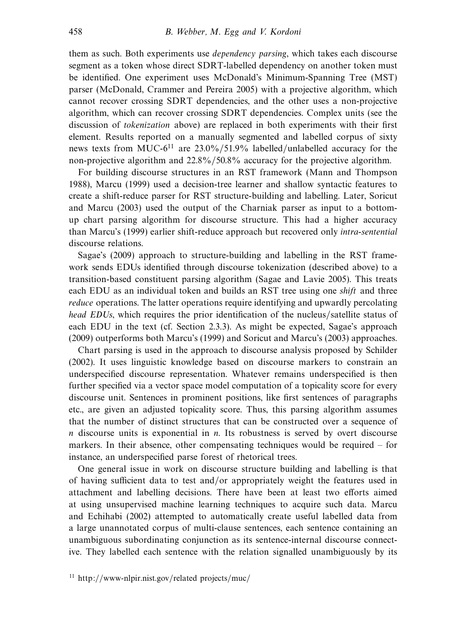them as such. Both experiments use *dependency parsing*, which takes each discourse segment as a token whose direct SDRT-labelled dependency on another token must be identified. One experiment uses McDonald's Minimum-Spanning Tree (MST) parser (McDonald, Crammer and Pereira 2005) with a projective algorithm, which cannot recover crossing SDRT dependencies, and the other uses a non-projective algorithm, which can recover crossing SDRT dependencies. Complex units (see the discussion of tokenization above) are replaced in both experiments with their first element. Results reported on a manually segmented and labelled corpus of sixty news texts from MUC-6<sup>11</sup> are 23.0%/51.9% labelled/unlabelled accuracy for the non-projective algorithm and 22.8%/50.8% accuracy for the projective algorithm.

For building discourse structures in an RST framework (Mann and Thompson 1988), Marcu (1999) used a decision-tree learner and shallow syntactic features to create a shift-reduce parser for RST structure-building and labelling. Later, Soricut and Marcu (2003) used the output of the Charniak parser as input to a bottomup chart parsing algorithm for discourse structure. This had a higher accuracy than Marcu's (1999) earlier shift-reduce approach but recovered only intra-sentential discourse relations.

Sagae's (2009) approach to structure-building and labelling in the RST framework sends EDUs identified through discourse tokenization (described above) to a transition-based constituent parsing algorithm (Sagae and Lavie 2005). This treats each EDU as an individual token and builds an RST tree using one shift and three reduce operations. The latter operations require identifying and upwardly percolating head EDUs, which requires the prior identification of the nucleus/satellite status of each EDU in the text (cf. Section 2.3.3). As might be expected, Sagae's approach (2009) outperforms both Marcu's (1999) and Soricut and Marcu's (2003) approaches.

Chart parsing is used in the approach to discourse analysis proposed by Schilder (2002). It uses linguistic knowledge based on discourse markers to constrain an underspecified discourse representation. Whatever remains underspecified is then further specified via a vector space model computation of a topicality score for every discourse unit. Sentences in prominent positions, like first sentences of paragraphs etc., are given an adjusted topicality score. Thus, this parsing algorithm assumes that the number of distinct structures that can be constructed over a sequence of  $n$  discourse units is exponential in  $n$ . Its robustness is served by overt discourse markers. In their absence, other compensating techniques would be required – for instance, an underspecified parse forest of rhetorical trees.

One general issue in work on discourse structure building and labelling is that of having sufficient data to test and/or appropriately weight the features used in attachment and labelling decisions. There have been at least two efforts aimed at using unsupervised machine learning techniques to acquire such data. Marcu and Echihabi (2002) attempted to automatically create useful labelled data from a large unannotated corpus of multi-clause sentences, each sentence containing an unambiguous subordinating conjunction as its sentence-internal discourse connective. They labelled each sentence with the relation signalled unambiguously by its

 $11$  http://www-nlpir.nist.gov/related projects/muc/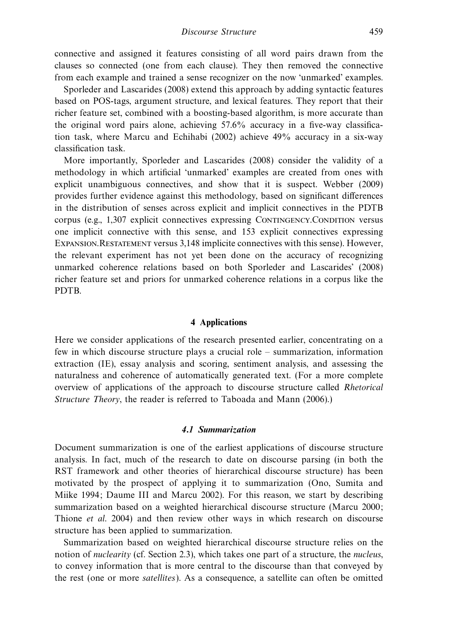connective and assigned it features consisting of all word pairs drawn from the clauses so connected (one from each clause). They then removed the connective from each example and trained a sense recognizer on the now 'unmarked' examples.

Sporleder and Lascarides (2008) extend this approach by adding syntactic features based on POS-tags, argument structure, and lexical features. They report that their richer feature set, combined with a boosting-based algorithm, is more accurate than the original word pairs alone, achieving 57.6% accuracy in a five-way classification task, where Marcu and Echihabi (2002) achieve 49% accuracy in a six-way classification task.

More importantly, Sporleder and Lascarides (2008) consider the validity of a methodology in which artificial 'unmarked' examples are created from ones with explicit unambiguous connectives, and show that it is suspect. Webber (2009) provides further evidence against this methodology, based on significant differences in the distribution of senses across explicit and implicit connectives in the PDTB corpus (e.g., 1,307 explicit connectives expressing CONTINGENCY.CONDITION versus one implicit connective with this sense, and 153 explicit connectives expressing Expansion.Restatement versus 3,148 implicite connectives with this sense). However, the relevant experiment has not yet been done on the accuracy of recognizing unmarked coherence relations based on both Sporleder and Lascarides' (2008) richer feature set and priors for unmarked coherence relations in a corpus like the PDTB.

#### **4 Applications**

Here we consider applications of the research presented earlier, concentrating on a few in which discourse structure plays a crucial role – summarization, information extraction (IE), essay analysis and scoring, sentiment analysis, and assessing the naturalness and coherence of automatically generated text. (For a more complete overview of applications of the approach to discourse structure called Rhetorical Structure Theory, the reader is referred to Taboada and Mann (2006).)

#### *4.1 Summarization*

Document summarization is one of the earliest applications of discourse structure analysis. In fact, much of the research to date on discourse parsing (in both the RST framework and other theories of hierarchical discourse structure) has been motivated by the prospect of applying it to summarization (Ono, Sumita and Miike 1994; Daume III and Marcu 2002). For this reason, we start by describing summarization based on a weighted hierarchical discourse structure (Marcu 2000; Thione et al. 2004) and then review other ways in which research on discourse structure has been applied to summarization.

Summarization based on weighted hierarchical discourse structure relies on the notion of *nuclearity* (cf. Section 2.3), which takes one part of a structure, the *nucleus*, to convey information that is more central to the discourse than that conveyed by the rest (one or more satellites). As a consequence, a satellite can often be omitted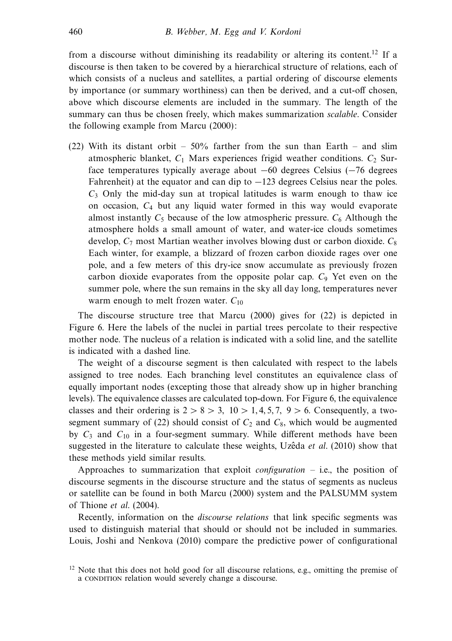from a discourse without diminishing its readability or altering its content.<sup>12</sup> If a discourse is then taken to be covered by a hierarchical structure of relations, each of which consists of a nucleus and satellites, a partial ordering of discourse elements by importance (or summary worthiness) can then be derived, and a cut-off chosen, above which discourse elements are included in the summary. The length of the summary can thus be chosen freely, which makes summarization *scalable*. Consider the following example from Marcu (2000):

(22) With its distant orbit –  $50\%$  farther from the sun than Earth – and slim atmospheric blanket,  $C_1$  Mars experiences frigid weather conditions.  $C_2$  Surface temperatures typically average about −60 degrees Celsius (−76 degrees Fahrenheit) at the equator and can dip to  $-123$  degrees Celsius near the poles.  $C_3$  Only the mid-day sun at tropical latitudes is warm enough to thaw ice on occasion, *C*<sup>4</sup> but any liquid water formed in this way would evaporate almost instantly  $C_5$  because of the low atmospheric pressure.  $C_6$  Although the atmosphere holds a small amount of water, and water-ice clouds sometimes develop, *C*<sup>7</sup> most Martian weather involves blowing dust or carbon dioxide. *C*<sup>8</sup> Each winter, for example, a blizzard of frozen carbon dioxide rages over one pole, and a few meters of this dry-ice snow accumulate as previously frozen carbon dioxide evaporates from the opposite polar cap. *C*<sup>9</sup> Yet even on the summer pole, where the sun remains in the sky all day long, temperatures never warm enough to melt frozen water.  $C_{10}$ 

The discourse structure tree that Marcu (2000) gives for (22) is depicted in Figure 6. Here the labels of the nuclei in partial trees percolate to their respective mother node. The nucleus of a relation is indicated with a solid line, and the satellite is indicated with a dashed line.

The weight of a discourse segment is then calculated with respect to the labels assigned to tree nodes. Each branching level constitutes an equivalence class of equally important nodes (excepting those that already show up in higher branching levels). The equivalence classes are calculated top-down. For Figure 6, the equivalence classes and their ordering is  $2 > 8 > 3$ ,  $10 > 1,4,5,7,9 > 6$ . Consequently, a twosegment summary of (22) should consist of  $C_2$  and  $C_8$ , which would be augmented by  $C_3$  and  $C_{10}$  in a four-segment summary. While different methods have been suggested in the literature to calculate these weights, Uzeda *et al.* (2010) show that these methods yield similar results.

Approaches to summarization that exploit *configuration*  $-$  i.e., the position of discourse segments in the discourse structure and the status of segments as nucleus or satellite can be found in both Marcu (2000) system and the PALSUMM system of Thione et al. (2004).

Recently, information on the discourse relations that link specific segments was used to distinguish material that should or should not be included in summaries. Louis, Joshi and Nenkova (2010) compare the predictive power of configurational

 $12$  Note that this does not hold good for all discourse relations, e.g., omitting the premise of a condition relation would severely change a discourse.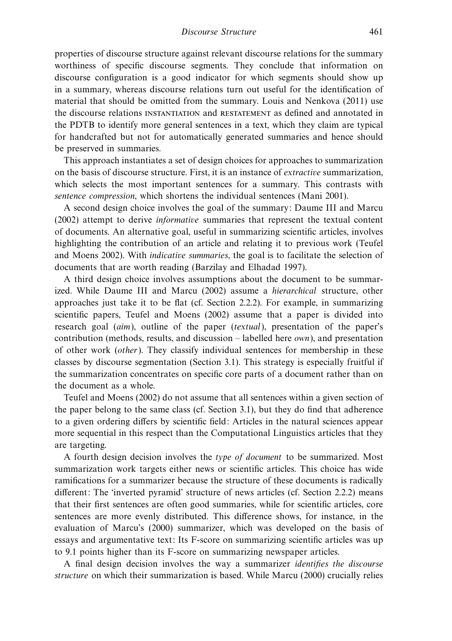properties of discourse structure against relevant discourse relations for the summary worthiness of specific discourse segments. They conclude that information on discourse configuration is a good indicator for which segments should show up in a summary, whereas discourse relations turn out useful for the identification of material that should be omitted from the summary. Louis and Nenkova (2011) use the discourse relations instantiation and restatement as defined and annotated in the PDTB to identify more general sentences in a text, which they claim are typical for handcrafted but not for automatically generated summaries and hence should be preserved in summaries.

This approach instantiates a set of design choices for approaches to summarization on the basis of discourse structure. First, it is an instance of extractive summarization, which selects the most important sentences for a summary. This contrasts with sentence compression, which shortens the individual sentences (Mani 2001).

A second design choice involves the goal of the summary: Daume III and Marcu (2002) attempt to derive informative summaries that represent the textual content of documents. An alternative goal, useful in summarizing scientific articles, involves highlighting the contribution of an article and relating it to previous work (Teufel and Moens 2002). With indicative summaries, the goal is to facilitate the selection of documents that are worth reading (Barzilay and Elhadad 1997).

A third design choice involves assumptions about the document to be summarized. While Daume III and Marcu (2002) assume a hierarchical structure, other approaches just take it to be flat (cf. Section 2.2.2). For example, in summarizing scientific papers, Teufel and Moens (2002) assume that a paper is divided into research goal (aim), outline of the paper (textual), presentation of the paper's contribution (methods, results, and discussion – labelled here  $own$ ), and presentation of other work (other). They classify individual sentences for membership in these classes by discourse segmentation (Section 3.1). This strategy is especially fruitful if the summarization concentrates on specific core parts of a document rather than on the document as a whole.

Teufel and Moens (2002) do not assume that all sentences within a given section of the paper belong to the same class (cf. Section 3.1), but they do find that adherence to a given ordering differs by scientific field: Articles in the natural sciences appear more sequential in this respect than the Computational Linguistics articles that they are targeting.

A fourth design decision involves the type of document to be summarized. Most summarization work targets either news or scientific articles. This choice has wide ramifications for a summarizer because the structure of these documents is radically different: The 'inverted pyramid' structure of news articles (cf. Section 2.2.2) means that their first sentences are often good summaries, while for scientific articles, core sentences are more evenly distributed. This difference shows, for instance, in the evaluation of Marcu's (2000) summarizer, which was developed on the basis of essays and argumentative text: Its F-score on summarizing scientific articles was up to 9.1 points higher than its F-score on summarizing newspaper articles.

A final design decision involves the way a summarizer identifies the discourse structure on which their summarization is based. While Marcu (2000) crucially relies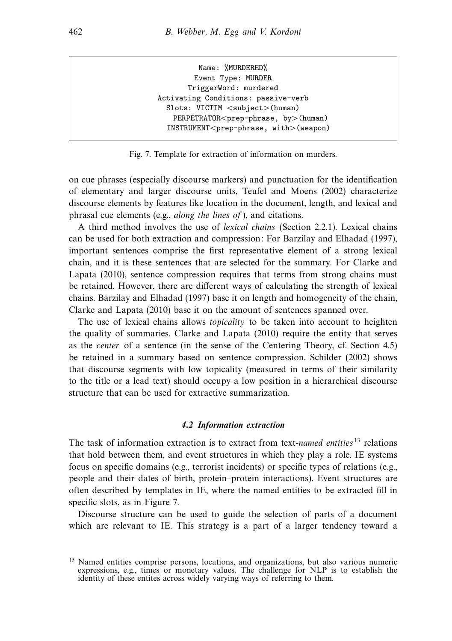| Name: %MURDERED%                                         |  |  |  |  |  |  |  |
|----------------------------------------------------------|--|--|--|--|--|--|--|
| Event Type: MURDER                                       |  |  |  |  |  |  |  |
| TriggerWord: murdered                                    |  |  |  |  |  |  |  |
| Activating Conditions: passive-verb                      |  |  |  |  |  |  |  |
| Slots: VICTIM <subject>(human)</subject>                 |  |  |  |  |  |  |  |
| PERPETRATOR <prep-phrase, by="">(human)</prep-phrase,>   |  |  |  |  |  |  |  |
| INSTRUMENT <prep-phrase, with="">(weapon)</prep-phrase,> |  |  |  |  |  |  |  |

Fig. 7. Template for extraction of information on murders.

on cue phrases (especially discourse markers) and punctuation for the identification of elementary and larger discourse units, Teufel and Moens (2002) characterize discourse elements by features like location in the document, length, and lexical and phrasal cue elements (e.g., along the lines of ), and citations.

A third method involves the use of lexical chains (Section 2.2.1). Lexical chains can be used for both extraction and compression: For Barzilay and Elhadad (1997), important sentences comprise the first representative element of a strong lexical chain, and it is these sentences that are selected for the summary. For Clarke and Lapata (2010), sentence compression requires that terms from strong chains must be retained. However, there are different ways of calculating the strength of lexical chains. Barzilay and Elhadad (1997) base it on length and homogeneity of the chain, Clarke and Lapata (2010) base it on the amount of sentences spanned over.

The use of lexical chains allows *topicality* to be taken into account to heighten the quality of summaries. Clarke and Lapata (2010) require the entity that serves as the center of a sentence (in the sense of the Centering Theory, cf. Section 4.5) be retained in a summary based on sentence compression. Schilder (2002) shows that discourse segments with low topicality (measured in terms of their similarity to the title or a lead text) should occupy a low position in a hierarchical discourse structure that can be used for extractive summarization.

#### *4.2 Information extraction*

The task of information extraction is to extract from text-named entities<sup>13</sup> relations that hold between them, and event structures in which they play a role. IE systems focus on specific domains (e.g., terrorist incidents) or specific types of relations (e.g., people and their dates of birth, protein–protein interactions). Event structures are often described by templates in IE, where the named entities to be extracted fill in specific slots, as in Figure 7.

Discourse structure can be used to guide the selection of parts of a document which are relevant to IE. This strategy is a part of a larger tendency toward a

<sup>&</sup>lt;sup>13</sup> Named entities comprise persons, locations, and organizations, but also various numeric expressions, e.g., times or monetary values. The challenge for NLP is to establish the identity of these entites across widely varying ways of referring to them.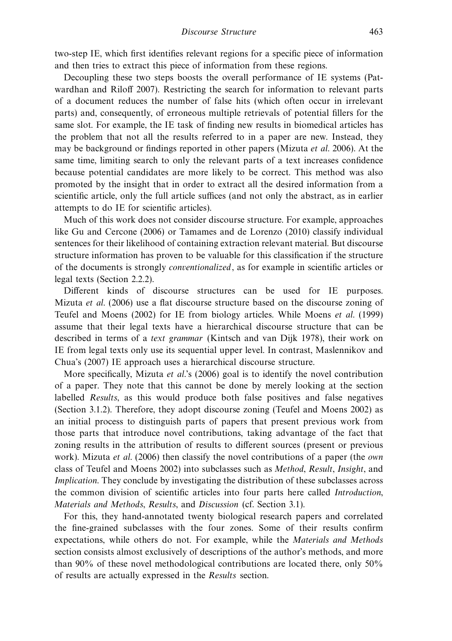two-step IE, which first identifies relevant regions for a specific piece of information and then tries to extract this piece of information from these regions.

Decoupling these two steps boosts the overall performance of IE systems (Patwardhan and Riloff 2007). Restricting the search for information to relevant parts of a document reduces the number of false hits (which often occur in irrelevant parts) and, consequently, of erroneous multiple retrievals of potential fillers for the same slot. For example, the IE task of finding new results in biomedical articles has the problem that not all the results referred to in a paper are new. Instead, they may be background or findings reported in other papers (Mizuta et al. 2006). At the same time, limiting search to only the relevant parts of a text increases confidence because potential candidates are more likely to be correct. This method was also promoted by the insight that in order to extract all the desired information from a scientific article, only the full article suffices (and not only the abstract, as in earlier attempts to do IE for scientific articles).

Much of this work does not consider discourse structure. For example, approaches like Gu and Cercone (2006) or Tamames and de Lorenzo (2010) classify individual sentences for their likelihood of containing extraction relevant material. But discourse structure information has proven to be valuable for this classification if the structure of the documents is strongly conventionalized, as for example in scientific articles or legal texts (Section 2.2.2).

Different kinds of discourse structures can be used for IE purposes. Mizuta et al. (2006) use a flat discourse structure based on the discourse zoning of Teufel and Moens (2002) for IE from biology articles. While Moens et al. (1999) assume that their legal texts have a hierarchical discourse structure that can be described in terms of a text grammar (Kintsch and van Dijk 1978), their work on IE from legal texts only use its sequential upper level. In contrast, Maslennikov and Chua's (2007) IE approach uses a hierarchical discourse structure.

More specifically, Mizuta *et al.*'s (2006) goal is to identify the novel contribution of a paper. They note that this cannot be done by merely looking at the section labelled Results, as this would produce both false positives and false negatives (Section 3.1.2). Therefore, they adopt discourse zoning (Teufel and Moens 2002) as an initial process to distinguish parts of papers that present previous work from those parts that introduce novel contributions, taking advantage of the fact that zoning results in the attribution of results to different sources (present or previous work). Mizuta *et al.* (2006) then classify the novel contributions of a paper (the *own* class of Teufel and Moens 2002) into subclasses such as Method, Result, Insight, and Implication. They conclude by investigating the distribution of these subclasses across the common division of scientific articles into four parts here called Introduction, Materials and Methods, Results, and Discussion (cf. Section 3.1).

For this, they hand-annotated twenty biological research papers and correlated the fine-grained subclasses with the four zones. Some of their results confirm expectations, while others do not. For example, while the Materials and Methods section consists almost exclusively of descriptions of the author's methods, and more than 90% of these novel methodological contributions are located there, only 50% of results are actually expressed in the Results section.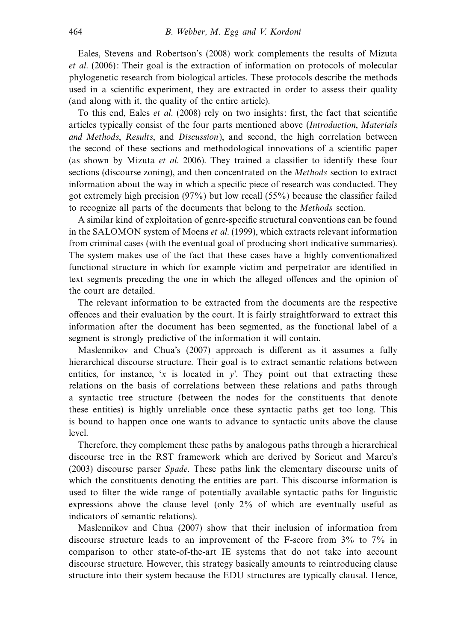Eales, Stevens and Robertson's (2008) work complements the results of Mizuta et al. (2006): Their goal is the extraction of information on protocols of molecular phylogenetic research from biological articles. These protocols describe the methods used in a scientific experiment, they are extracted in order to assess their quality (and along with it, the quality of the entire article).

To this end, Eales et al. (2008) rely on two insights: first, the fact that scientific articles typically consist of the four parts mentioned above (Introduction, Materials and Methods, Results, and Discussion), and second, the high correlation between the second of these sections and methodological innovations of a scientific paper (as shown by Mizuta et al. 2006). They trained a classifier to identify these four sections (discourse zoning), and then concentrated on the *Methods* section to extract information about the way in which a specific piece of research was conducted. They got extremely high precision (97%) but low recall (55%) because the classifier failed to recognize all parts of the documents that belong to the Methods section.

A similar kind of exploitation of genre-specific structural conventions can be found in the SALOMON system of Moens et al. (1999), which extracts relevant information from criminal cases (with the eventual goal of producing short indicative summaries). The system makes use of the fact that these cases have a highly conventionalized functional structure in which for example victim and perpetrator are identified in text segments preceding the one in which the alleged offences and the opinion of the court are detailed.

The relevant information to be extracted from the documents are the respective offences and their evaluation by the court. It is fairly straightforward to extract this information after the document has been segmented, as the functional label of a segment is strongly predictive of the information it will contain.

Maslennikov and Chua's (2007) approach is different as it assumes a fully hierarchical discourse structure. Their goal is to extract semantic relations between entities, for instance,  $\dot{x}$  is located in  $\dot{y}$ . They point out that extracting these relations on the basis of correlations between these relations and paths through a syntactic tree structure (between the nodes for the constituents that denote these entities) is highly unreliable once these syntactic paths get too long. This is bound to happen once one wants to advance to syntactic units above the clause level.

Therefore, they complement these paths by analogous paths through a hierarchical discourse tree in the RST framework which are derived by Soricut and Marcu's (2003) discourse parser Spade. These paths link the elementary discourse units of which the constituents denoting the entities are part. This discourse information is used to filter the wide range of potentially available syntactic paths for linguistic expressions above the clause level (only 2% of which are eventually useful as indicators of semantic relations).

Maslennikov and Chua (2007) show that their inclusion of information from discourse structure leads to an improvement of the F-score from 3% to 7% in comparison to other state-of-the-art IE systems that do not take into account discourse structure. However, this strategy basically amounts to reintroducing clause structure into their system because the EDU structures are typically clausal. Hence,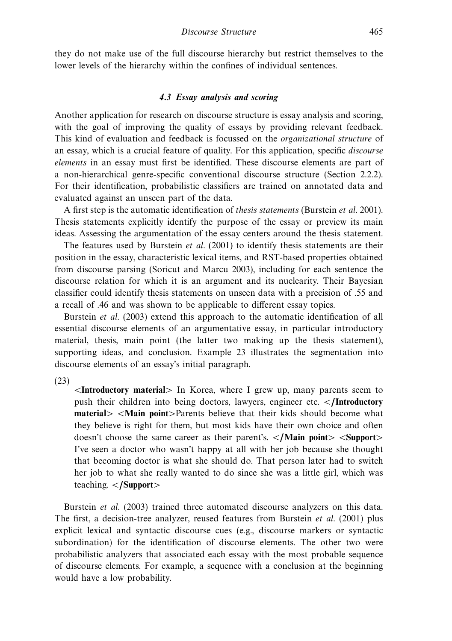they do not make use of the full discourse hierarchy but restrict themselves to the lower levels of the hierarchy within the confines of individual sentences.

#### *4.3 Essay analysis and scoring*

Another application for research on discourse structure is essay analysis and scoring, with the goal of improving the quality of essays by providing relevant feedback. This kind of evaluation and feedback is focussed on the organizational structure of an essay, which is a crucial feature of quality. For this application, specific discourse elements in an essay must first be identified. These discourse elements are part of a non-hierarchical genre-specific conventional discourse structure (Section 2.2.2). For their identification, probabilistic classifiers are trained on annotated data and evaluated against an unseen part of the data.

A first step is the automatic identification of thesis statements (Burstein et al. 2001). Thesis statements explicitly identify the purpose of the essay or preview its main ideas. Assessing the argumentation of the essay centers around the thesis statement.

The features used by Burstein *et al.* (2001) to identify thesis statements are their position in the essay, characteristic lexical items, and RST-based properties obtained from discourse parsing (Soricut and Marcu 2003), including for each sentence the discourse relation for which it is an argument and its nuclearity. Their Bayesian classifier could identify thesis statements on unseen data with a precision of .55 and a recall of .46 and was shown to be applicable to different essay topics.

Burstein et al. (2003) extend this approach to the automatic identification of all essential discourse elements of an argumentative essay, in particular introductory material, thesis, main point (the latter two making up the thesis statement), supporting ideas, and conclusion. Example 23 illustrates the segmentation into discourse elements of an essay's initial paragraph.

(23)

*<***Introductory material***>* In Korea, where I grew up, many parents seem to push their children into being doctors, lawyers, engineer etc. *<***/Introductory material***> <***Main point***>*Parents believe that their kids should become what they believe is right for them, but most kids have their own choice and often doesn't choose the same career as their parent's. *<***/Main point***> <***Support***>* I've seen a doctor who wasn't happy at all with her job because she thought that becoming doctor is what she should do. That person later had to switch her job to what she really wanted to do since she was a little girl, which was teaching. *<***/Support***>*

Burstein et al. (2003) trained three automated discourse analyzers on this data. The first, a decision-tree analyzer, reused features from Burstein *et al.* (2001) plus explicit lexical and syntactic discourse cues (e.g., discourse markers or syntactic subordination) for the identification of discourse elements. The other two were probabilistic analyzers that associated each essay with the most probable sequence of discourse elements. For example, a sequence with a conclusion at the beginning would have a low probability.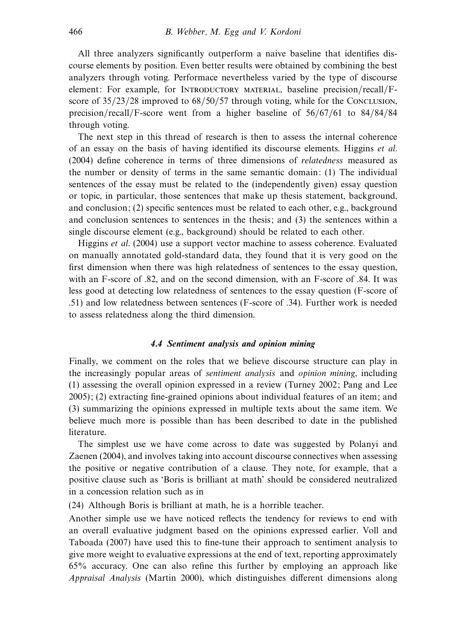All three analyzers significantly outperform a naive baseline that identifies discourse elements by position. Even better results were obtained by combining the best analyzers through voting. Performace nevertheless varied by the type of discourse element: For example, for INTRODUCTORY MATERIAL, baseline precision/recall/Fscore of  $35/23/28$  improved to  $68/50/57$  through voting, while for the Conclusion, precision/recall/F-score went from a higher baseline of 56/67/61 to 84/84/84 through voting.

The next step in this thread of research is then to assess the internal coherence of an essay on the basis of having identified its discourse elements. Higgins et al. (2004) define coherence in terms of three dimensions of relatedness measured as the number or density of terms in the same semantic domain: (1) The individual sentences of the essay must be related to the (independently given) essay question or topic, in particular, those sentences that make up thesis statement, background, and conclusion; (2) specific sentences must be related to each other, e.g., background and conclusion sentences to sentences in the thesis; and (3) the sentences within a single discourse element (e.g., background) should be related to each other.

Higgins et al. (2004) use a support vector machine to assess coherence. Evaluated on manually annotated gold-standard data, they found that it is very good on the first dimension when there was high relatedness of sentences to the essay question, with an F-score of .82, and on the second dimension, with an F-score of .84. It was less good at detecting low relatedness of sentences to the essay question (F-score of .51) and low relatedness between sentences (F-score of .34). Further work is needed to assess relatedness along the third dimension.

#### *4.4 Sentiment analysis and opinion mining*

Finally, we comment on the roles that we believe discourse structure can play in the increasingly popular areas of sentiment analysis and opinion mining, including (1) assessing the overall opinion expressed in a review (Turney 2002; Pang and Lee 2005); (2) extracting fine-grained opinions about individual features of an item; and (3) summarizing the opinions expressed in multiple texts about the same item. We believe much more is possible than has been described to date in the published literature.

The simplest use we have come across to date was suggested by Polanyi and Zaenen (2004), and involves taking into account discourse connectives when assessing the positive or negative contribution of a clause. They note, for example, that a positive clause such as 'Boris is brilliant at math' should be considered neutralized in a concession relation such as in

(24) Although Boris is brilliant at math, he is a horrible teacher.

Another simple use we have noticed reflects the tendency for reviews to end with an overall evaluative judgment based on the opinions expressed earlier. Voll and Taboada (2007) have used this to fine-tune their approach to sentiment analysis to give more weight to evaluative expressions at the end of text, reporting approximately 65% accuracy. One can also refine this further by employing an approach like Appraisal Analysis (Martin 2000), which distinguishes different dimensions along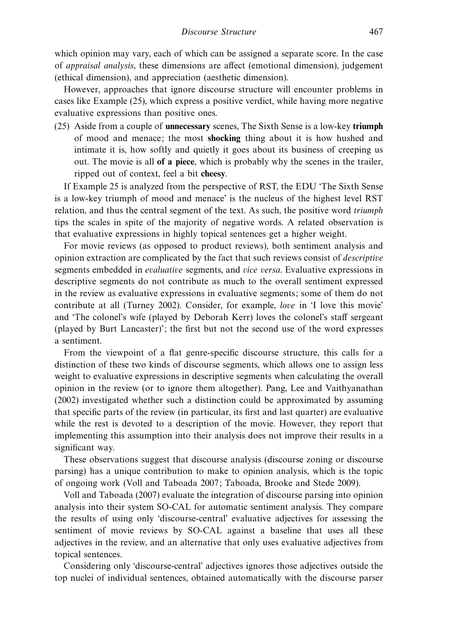which opinion may vary, each of which can be assigned a separate score. In the case of appraisal analysis, these dimensions are affect (emotional dimension), judgement (ethical dimension), and appreciation (aesthetic dimension).

However, approaches that ignore discourse structure will encounter problems in cases like Example (25), which express a positive verdict, while having more negative evaluative expressions than positive ones.

(25) Aside from a couple of **unnecessary** scenes, The Sixth Sense is a low-key **triumph** of mood and menace; the most **shocking** thing about it is how hushed and intimate it is, how softly and quietly it goes about its business of creeping us out. The movie is all **of a piece**, which is probably why the scenes in the trailer, ripped out of context, feel a bit **cheesy**.

If Example 25 is analyzed from the perspective of RST, the EDU 'The Sixth Sense is a low-key triumph of mood and menace' is the nucleus of the highest level RST relation, and thus the central segment of the text. As such, the positive word triumph tips the scales in spite of the majority of negative words. A related observation is that evaluative expressions in highly topical sentences get a higher weight.

For movie reviews (as opposed to product reviews), both sentiment analysis and opinion extraction are complicated by the fact that such reviews consist of descriptive segments embedded in evaluative segments, and vice versa. Evaluative expressions in descriptive segments do not contribute as much to the overall sentiment expressed in the review as evaluative expressions in evaluative segments; some of them do not contribute at all (Turney 2002). Consider, for example, love in 'I love this movie' and 'The colonel's wife (played by Deborah Kerr) loves the colonel's staff sergeant (played by Burt Lancaster)'; the first but not the second use of the word expresses a sentiment.

From the viewpoint of a flat genre-specific discourse structure, this calls for a distinction of these two kinds of discourse segments, which allows one to assign less weight to evaluative expressions in descriptive segments when calculating the overall opinion in the review (or to ignore them altogether). Pang, Lee and Vaithyanathan (2002) investigated whether such a distinction could be approximated by assuming that specific parts of the review (in particular, its first and last quarter) are evaluative while the rest is devoted to a description of the movie. However, they report that implementing this assumption into their analysis does not improve their results in a significant way.

These observations suggest that discourse analysis (discourse zoning or discourse parsing) has a unique contribution to make to opinion analysis, which is the topic of ongoing work (Voll and Taboada 2007; Taboada, Brooke and Stede 2009).

Voll and Taboada (2007) evaluate the integration of discourse parsing into opinion analysis into their system SO-CAL for automatic sentiment analysis. They compare the results of using only 'discourse-central' evaluative adjectives for assessing the sentiment of movie reviews by SO-CAL against a baseline that uses all these adjectives in the review, and an alternative that only uses evaluative adjectives from topical sentences.

Considering only 'discourse-central' adjectives ignores those adjectives outside the top nuclei of individual sentences, obtained automatically with the discourse parser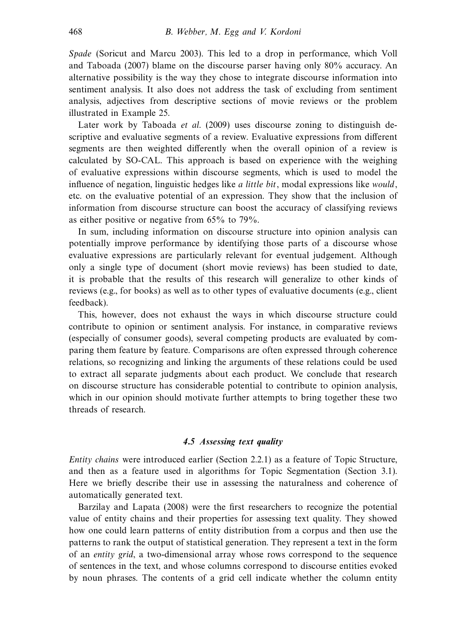Spade (Soricut and Marcu 2003). This led to a drop in performance, which Voll and Taboada (2007) blame on the discourse parser having only 80% accuracy. An alternative possibility is the way they chose to integrate discourse information into sentiment analysis. It also does not address the task of excluding from sentiment analysis, adjectives from descriptive sections of movie reviews or the problem illustrated in Example 25.

Later work by Taboada *et al.* (2009) uses discourse zoning to distinguish descriptive and evaluative segments of a review. Evaluative expressions from different segments are then weighted differently when the overall opinion of a review is calculated by SO-CAL. This approach is based on experience with the weighing of evaluative expressions within discourse segments, which is used to model the influence of negation, linguistic hedges like a little bit, modal expressions like would, etc. on the evaluative potential of an expression. They show that the inclusion of information from discourse structure can boost the accuracy of classifying reviews as either positive or negative from 65% to 79%.

In sum, including information on discourse structure into opinion analysis can potentially improve performance by identifying those parts of a discourse whose evaluative expressions are particularly relevant for eventual judgement. Although only a single type of document (short movie reviews) has been studied to date, it is probable that the results of this research will generalize to other kinds of reviews (e.g., for books) as well as to other types of evaluative documents (e.g., client feedback).

This, however, does not exhaust the ways in which discourse structure could contribute to opinion or sentiment analysis. For instance, in comparative reviews (especially of consumer goods), several competing products are evaluated by comparing them feature by feature. Comparisons are often expressed through coherence relations, so recognizing and linking the arguments of these relations could be used to extract all separate judgments about each product. We conclude that research on discourse structure has considerable potential to contribute to opinion analysis, which in our opinion should motivate further attempts to bring together these two threads of research.

## *4.5 Assessing text quality*

Entity chains were introduced earlier (Section 2.2.1) as a feature of Topic Structure, and then as a feature used in algorithms for Topic Segmentation (Section 3.1). Here we briefly describe their use in assessing the naturalness and coherence of automatically generated text.

Barzilay and Lapata (2008) were the first researchers to recognize the potential value of entity chains and their properties for assessing text quality. They showed how one could learn patterns of entity distribution from a corpus and then use the patterns to rank the output of statistical generation. They represent a text in the form of an entity grid, a two-dimensional array whose rows correspond to the sequence of sentences in the text, and whose columns correspond to discourse entities evoked by noun phrases. The contents of a grid cell indicate whether the column entity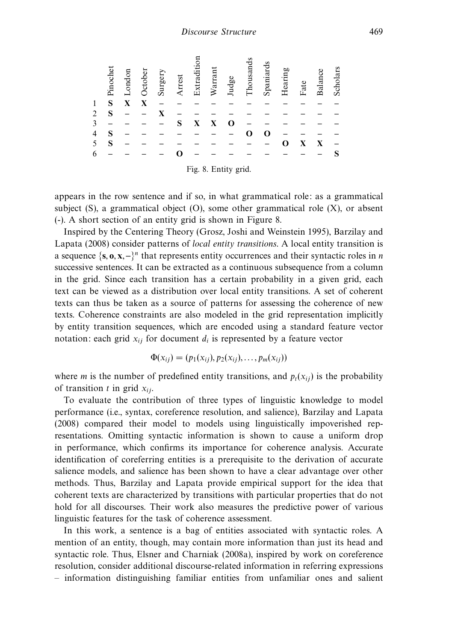|                | Pinochet | London | October | Surgery | Arrest | Extradition | Warran | Judge                | Thousands | Spaniards | Hearing | Fate | Balance | Scholars |
|----------------|----------|--------|---------|---------|--------|-------------|--------|----------------------|-----------|-----------|---------|------|---------|----------|
| $\mathbf{1}$   | S        | X      | X       |         |        |             |        |                      |           |           |         |      |         |          |
| $\overline{2}$ | S        |        |         |         |        |             |        |                      |           |           |         |      |         |          |
| 3              |          |        |         |         | S      | X           |        | О                    |           |           |         |      |         |          |
| $\overline{4}$ | S        |        |         |         |        |             |        |                      | О         | O         |         |      |         |          |
| 5              | S        |        |         |         |        |             |        |                      |           |           | O       | X    | X       |          |
| 6              |          |        |         |         |        |             |        |                      |           |           |         |      |         | S        |
|                |          |        |         |         |        |             |        | Fig. 8. Entity grid. |           |           |         |      |         |          |

appears in the row sentence and if so, in what grammatical role: as a grammatical subject  $(S)$ , a grammatical object  $(O)$ , some other grammatical role  $(X)$ , or absent (-). A short section of an entity grid is shown in Figure 8.

Inspired by the Centering Theory (Grosz, Joshi and Weinstein 1995), Barzilay and Lapata (2008) consider patterns of local entity transitions. A local entity transition is a sequence  $\{s, \mathbf{o}, \mathbf{x}, -\}^n$  that represents entity occurrences and their syntactic roles in *n* successive sentences. It can be extracted as a continuous subsequence from a column in the grid. Since each transition has a certain probability in a given grid, each text can be viewed as a distribution over local entity transitions. A set of coherent texts can thus be taken as a source of patterns for assessing the coherence of new texts. Coherence constraints are also modeled in the grid representation implicitly by entity transition sequences, which are encoded using a standard feature vector notation: each grid  $x_{ij}$  for document  $d_i$  is represented by a feature vector

$$
\Phi(x_{ij}) = (p_1(x_{ij}), p_2(x_{ij}), \ldots, p_m(x_{ij}))
$$

where *m* is the number of predefined entity transitions, and  $p_t(x_{ij})$  is the probability of transition *t* in grid *xij*.

To evaluate the contribution of three types of linguistic knowledge to model performance (i.e., syntax, coreference resolution, and salience), Barzilay and Lapata (2008) compared their model to models using linguistically impoverished representations. Omitting syntactic information is shown to cause a uniform drop in performance, which confirms its importance for coherence analysis. Accurate identification of coreferring entities is a prerequisite to the derivation of accurate salience models, and salience has been shown to have a clear advantage over other methods. Thus, Barzilay and Lapata provide empirical support for the idea that coherent texts are characterized by transitions with particular properties that do not hold for all discourses. Their work also measures the predictive power of various linguistic features for the task of coherence assessment.

In this work, a sentence is a bag of entities associated with syntactic roles. A mention of an entity, though, may contain more information than just its head and syntactic role. Thus, Elsner and Charniak (2008a), inspired by work on coreference resolution, consider additional discourse-related information in referring expressions – information distinguishing familiar entities from unfamiliar ones and salient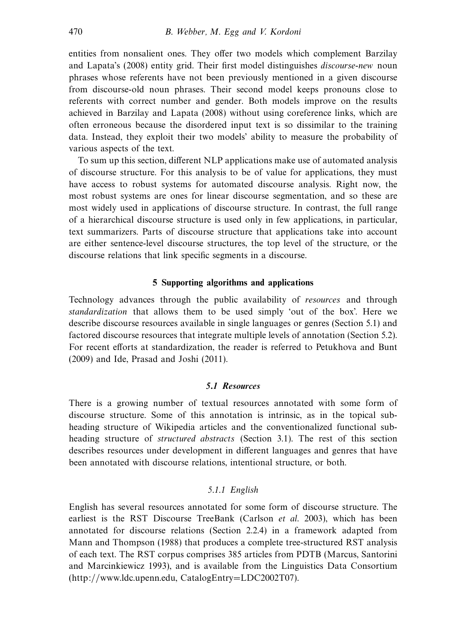entities from nonsalient ones. They offer two models which complement Barzilay and Lapata's (2008) entity grid. Their first model distinguishes discourse-new noun phrases whose referents have not been previously mentioned in a given discourse from discourse-old noun phrases. Their second model keeps pronouns close to referents with correct number and gender. Both models improve on the results achieved in Barzilay and Lapata (2008) without using coreference links, which are often erroneous because the disordered input text is so dissimilar to the training data. Instead, they exploit their two models' ability to measure the probability of various aspects of the text.

To sum up this section, different NLP applications make use of automated analysis of discourse structure. For this analysis to be of value for applications, they must have access to robust systems for automated discourse analysis. Right now, the most robust systems are ones for linear discourse segmentation, and so these are most widely used in applications of discourse structure. In contrast, the full range of a hierarchical discourse structure is used only in few applications, in particular, text summarizers. Parts of discourse structure that applications take into account are either sentence-level discourse structures, the top level of the structure, or the discourse relations that link specific segments in a discourse.

## **5 Supporting algorithms and applications**

Technology advances through the public availability of resources and through standardization that allows them to be used simply 'out of the box'. Here we describe discourse resources available in single languages or genres (Section 5.1) and factored discourse resources that integrate multiple levels of annotation (Section 5.2). For recent efforts at standardization, the reader is referred to Petukhova and Bunt (2009) and Ide, Prasad and Joshi (2011).

#### *5.1 Resources*

There is a growing number of textual resources annotated with some form of discourse structure. Some of this annotation is intrinsic, as in the topical subheading structure of Wikipedia articles and the conventionalized functional subheading structure of structured abstracts (Section 3.1). The rest of this section describes resources under development in different languages and genres that have been annotated with discourse relations, intentional structure, or both.

#### 5.1.1 English

English has several resources annotated for some form of discourse structure. The earliest is the RST Discourse TreeBank (Carlson et al. 2003), which has been annotated for discourse relations (Section 2.2.4) in a framework adapted from Mann and Thompson (1988) that produces a complete tree-structured RST analysis of each text. The RST corpus comprises 385 articles from PDTB (Marcus, Santorini and Marcinkiewicz 1993), and is available from the Linguistics Data Consortium (http://www.ldc.upenn.edu, CatalogEntry=LDC2002T07).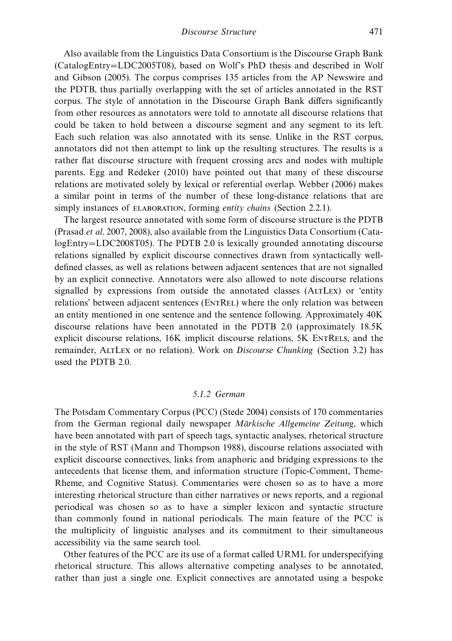Also available from the Linguistics Data Consortium is the Discourse Graph Bank (CatalogEntry=LDC2005T08), based on Wolf's PhD thesis and described in Wolf and Gibson (2005). The corpus comprises 135 articles from the AP Newswire and the PDTB, thus partially overlapping with the set of articles annotated in the RST corpus. The style of annotation in the Discourse Graph Bank differs significantly from other resources as annotators were told to annotate all discourse relations that could be taken to hold between a discourse segment and any segment to its left. Each such relation was also annotated with its sense. Unlike in the RST corpus, annotators did not then attempt to link up the resulting structures. The results is a rather flat discourse structure with frequent crossing arcs and nodes with multiple parents. Egg and Redeker (2010) have pointed out that many of these discourse relations are motivated solely by lexical or referential overlap. Webber (2006) makes a similar point in terms of the number of these long-distance relations that are simply instances of ELABORATION, forming *entity chains* (Section 2.2.1).

The largest resource annotated with some form of discourse structure is the PDTB (Prasad et al. 2007, 2008), also available from the Linguistics Data Consortium (CatalogEntry=LDC2008T05). The PDTB 2.0 is lexically grounded annotating discourse relations signalled by explicit discourse connectives drawn from syntactically welldefined classes, as well as relations between adjacent sentences that are not signalled by an explicit connective. Annotators were also allowed to note discourse relations signalled by expressions from outside the annotated classes (AltLex) or 'entity relations' between adjacent sentences (EntRel) where the only relation was between an entity mentioned in one sentence and the sentence following. Approximately 40K discourse relations have been annotated in the PDTB 2.0 (approximately 18.5K explicit discourse relations, 16K implicit discourse relations, 5K ENTRELS, and the remainder, AltLex or no relation). Work on Discourse Chunking (Section 3.2) has used the PDTB 2.0.

#### 5.1.2 German

The Potsdam Commentary Corpus (PCC) (Stede 2004) consists of 170 commentaries from the German regional daily newspaper Märkische Allgemeine Zeitung, which have been annotated with part of speech tags, syntactic analyses, rhetorical structure in the style of RST (Mann and Thompson 1988), discourse relations associated with explicit discourse connectives, links from anaphoric and bridging expressions to the antecedents that license them, and information structure (Topic-Comment, Theme-Rheme, and Cognitive Status). Commentaries were chosen so as to have a more interesting rhetorical structure than either narratives or news reports, and a regional periodical was chosen so as to have a simpler lexicon and syntactic structure than commonly found in national periodicals. The main feature of the PCC is the multiplicity of linguistic analyses and its commitment to their simultaneous accessibility via the same search tool.

Other features of the PCC are its use of a format called URML for underspecifying rhetorical structure. This allows alternative competing analyses to be annotated, rather than just a single one. Explicit connectives are annotated using a bespoke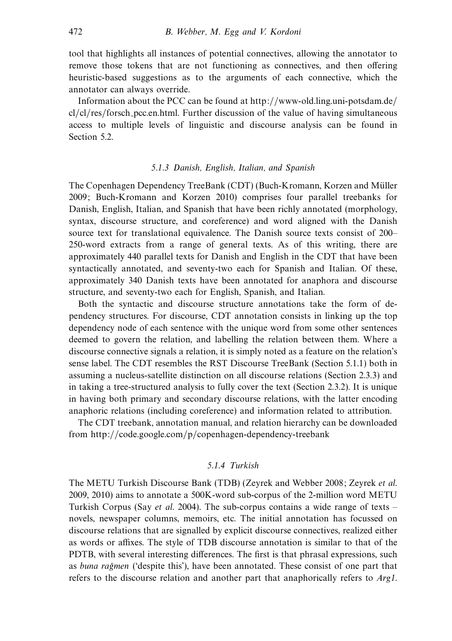tool that highlights all instances of potential connectives, allowing the annotator to remove those tokens that are not functioning as connectives, and then offering heuristic-based suggestions as to the arguments of each connective, which the annotator can always override.

Information about the PCC can be found at http://www-old.ling.uni-potsdam.de/ cl/cl/res/forsch pcc.en.html. Further discussion of the value of having simultaneous access to multiple levels of linguistic and discourse analysis can be found in Section 5.2.

## 5.1.3 Danish, English, Italian, and Spanish

The Copenhagen Dependency TreeBank (CDT) (Buch-Kromann, Korzen and Muller ¨ 2009; Buch-Kromann and Korzen 2010) comprises four parallel treebanks for Danish, English, Italian, and Spanish that have been richly annotated (morphology, syntax, discourse structure, and coreference) and word aligned with the Danish source text for translational equivalence. The Danish source texts consist of 200– 250-word extracts from a range of general texts. As of this writing, there are approximately 440 parallel texts for Danish and English in the CDT that have been syntactically annotated, and seventy-two each for Spanish and Italian. Of these, approximately 340 Danish texts have been annotated for anaphora and discourse structure, and seventy-two each for English, Spanish, and Italian.

Both the syntactic and discourse structure annotations take the form of dependency structures. For discourse, CDT annotation consists in linking up the top dependency node of each sentence with the unique word from some other sentences deemed to govern the relation, and labelling the relation between them. Where a discourse connective signals a relation, it is simply noted as a feature on the relation's sense label. The CDT resembles the RST Discourse TreeBank (Section 5.1.1) both in assuming a nucleus-satellite distinction on all discourse relations (Section 2.3.3) and in taking a tree-structured analysis to fully cover the text (Section 2.3.2). It is unique in having both primary and secondary discourse relations, with the latter encoding anaphoric relations (including coreference) and information related to attribution.

The CDT treebank, annotation manual, and relation hierarchy can be downloaded from http://code.google.com/p/copenhagen-dependency-treebank

## 5.1.4 Turkish

The METU Turkish Discourse Bank (TDB) (Zeyrek and Webber 2008; Zeyrek et al. 2009, 2010) aims to annotate a 500K-word sub-corpus of the 2-million word METU Turkish Corpus (Say *et al.* 2004). The sub-corpus contains a wide range of texts – novels, newspaper columns, memoirs, etc. The initial annotation has focussed on discourse relations that are signalled by explicit discourse connectives, realized either as words or affixes. The style of TDB discourse annotation is similar to that of the PDTB, with several interesting differences. The first is that phrasal expressions, such as buna rağmen ('despite this'), have been annotated. These consist of one part that refers to the discourse relation and another part that anaphorically refers to Arg1.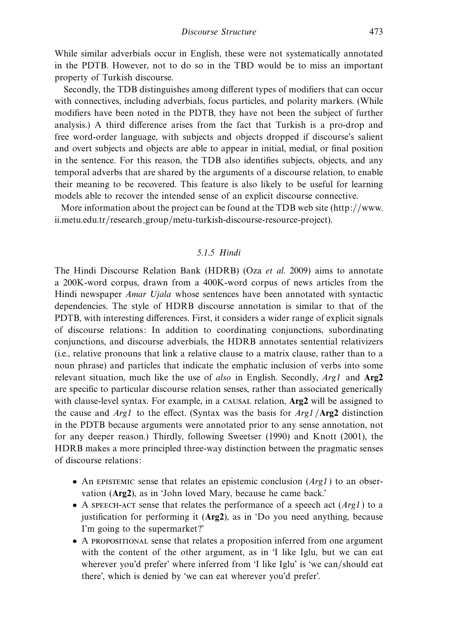While similar adverbials occur in English, these were not systematically annotated in the PDTB. However, not to do so in the TBD would be to miss an important property of Turkish discourse.

Secondly, the TDB distinguishes among different types of modifiers that can occur with connectives, including adverbials, focus particles, and polarity markers. (While modifiers have been noted in the PDTB, they have not been the subject of further analysis.) A third difference arises from the fact that Turkish is a pro-drop and free word-order language, with subjects and objects dropped if discourse's salient and overt subjects and objects are able to appear in initial, medial, or final position in the sentence. For this reason, the TDB also identifies subjects, objects, and any temporal adverbs that are shared by the arguments of a discourse relation, to enable their meaning to be recovered. This feature is also likely to be useful for learning models able to recover the intended sense of an explicit discourse connective.

More information about the project can be found at the TDB web site (http://www. ii.metu.edu.tr/research group/metu-turkish-discourse-resource-project).

## 5.1.5 Hindi

The Hindi Discourse Relation Bank (HDRB) (Oza et al. 2009) aims to annotate a 200K-word corpus, drawn from a 400K-word corpus of news articles from the Hindi newspaper Amar Ujala whose sentences have been annotated with syntactic dependencies. The style of HDRB discourse annotation is similar to that of the PDTB, with interesting differences. First, it considers a wider range of explicit signals of discourse relations: In addition to coordinating conjunctions, subordinating conjunctions, and discourse adverbials, the HDRB annotates sentential relativizers (i.e., relative pronouns that link a relative clause to a matrix clause, rather than to a noun phrase) and particles that indicate the emphatic inclusion of verbs into some relevant situation, much like the use of also in English. Secondly, Arg1 and **Arg2** are specific to particular discourse relation senses, rather than associated generically with clause-level syntax. For example, in a causal relation, **Arg2** will be assigned to the cause and Arg1 to the effect. (Syntax was the basis for Arg1 /**Arg2** distinction in the PDTB because arguments were annotated prior to any sense annotation, not for any deeper reason.) Thirdly, following Sweetser (1990) and Knott (2001), the HDRB makes a more principled three-way distinction between the pragmatic senses of discourse relations:

- An EPISTEMIC sense that relates an epistemic conclusion  $(Arg1)$  to an observation (**Arg2**), as in 'John loved Mary, because he came back.'
- A speech-act sense that relates the performance of a speech act  $(Arg1)$  to a justification for performing it (**Arg2**), as in 'Do you need anything, because I'm going to the supermarket?'
- A propositional sense that relates a proposition inferred from one argument with the content of the other argument, as in 'I like Iglu, but we can eat wherever you'd prefer' where inferred from 'I like Iglu' is 'we can/should eat there', which is denied by 'we can eat wherever you'd prefer'.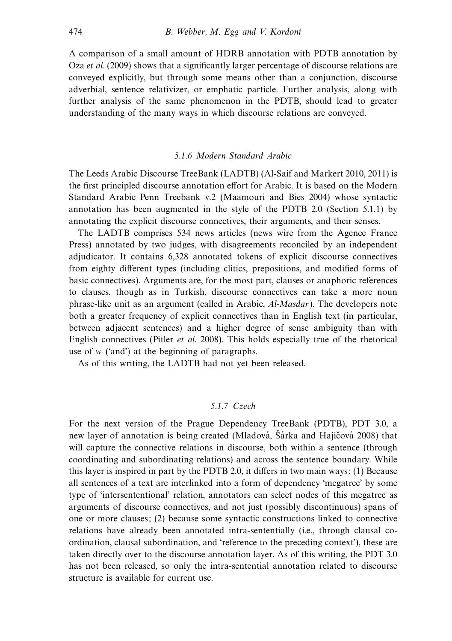A comparison of a small amount of HDRB annotation with PDTB annotation by Oza et al. (2009) shows that a significantly larger percentage of discourse relations are conveyed explicitly, but through some means other than a conjunction, discourse adverbial, sentence relativizer, or emphatic particle. Further analysis, along with further analysis of the same phenomenon in the PDTB, should lead to greater understanding of the many ways in which discourse relations are conveyed.

#### 5.1.6 Modern Standard Arabic

The Leeds Arabic Discourse TreeBank (LADTB) (Al-Saif and Markert 2010, 2011) is the first principled discourse annotation effort for Arabic. It is based on the Modern Standard Arabic Penn Treebank v.2 (Maamouri and Bies 2004) whose syntactic annotation has been augmented in the style of the PDTB 2.0 (Section 5.1.1) by annotating the explicit discourse connectives, their arguments, and their senses.

The LADTB comprises 534 news articles (news wire from the Agence France Press) annotated by two judges, with disagreements reconciled by an independent adjudicator. It contains 6,328 annotated tokens of explicit discourse connectives from eighty different types (including clitics, prepositions, and modified forms of basic connectives). Arguments are, for the most part, clauses or anaphoric references to clauses, though as in Turkish, discourse connectives can take a more noun phrase-like unit as an argument (called in Arabic, Al-Masdar). The developers note both a greater frequency of explicit connectives than in English text (in particular, between adjacent sentences) and a higher degree of sense ambiguity than with English connectives (Pitler et al. 2008). This holds especially true of the rhetorical use of w ('and') at the beginning of paragraphs.

As of this writing, the LADTB had not yet been released.

#### 5.1.7 Czech

For the next version of the Prague Dependency TreeBank (PDTB), PDT 3.0, a new layer of annotation is being created (Mladová, Šárka and Hajičová 2008) that will capture the connective relations in discourse, both within a sentence (through coordinating and subordinating relations) and across the sentence boundary. While this layer is inspired in part by the PDTB 2.0, it differs in two main ways: (1) Because all sentences of a text are interlinked into a form of dependency 'megatree' by some type of 'intersententional' relation, annotators can select nodes of this megatree as arguments of discourse connectives, and not just (possibly discontinuous) spans of one or more clauses; (2) because some syntactic constructions linked to connective relations have already been annotated intra-sententially (i.e., through clausal coordination, clausal subordination, and 'reference to the preceding context'), these are taken directly over to the discourse annotation layer. As of this writing, the PDT 3.0 has not been released, so only the intra-sentential annotation related to discourse structure is available for current use.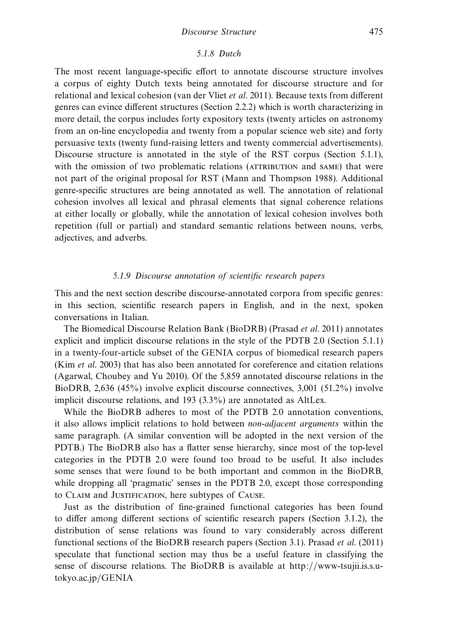#### 5.1.8 Dutch

The most recent language-specific effort to annotate discourse structure involves a corpus of eighty Dutch texts being annotated for discourse structure and for relational and lexical cohesion (van der Vliet et al. 2011). Because texts from different genres can evince different structures (Section 2.2.2) which is worth characterizing in more detail, the corpus includes forty expository texts (twenty articles on astronomy from an on-line encyclopedia and twenty from a popular science web site) and forty persuasive texts (twenty fund-raising letters and twenty commercial advertisements). Discourse structure is annotated in the style of the RST corpus (Section 5.1.1), with the omission of two problematic relations (ATTRIBUTION and SAME) that were not part of the original proposal for RST (Mann and Thompson 1988). Additional genre-specific structures are being annotated as well. The annotation of relational cohesion involves all lexical and phrasal elements that signal coherence relations at either locally or globally, while the annotation of lexical cohesion involves both repetition (full or partial) and standard semantic relations between nouns, verbs, adjectives, and adverbs.

## 5.1.9 Discourse annotation of scientific research papers

This and the next section describe discourse-annotated corpora from specific genres: in this section, scientific research papers in English, and in the next, spoken conversations in Italian.

The Biomedical Discourse Relation Bank (BioDRB) (Prasad et al. 2011) annotates explicit and implicit discourse relations in the style of the PDTB 2.0 (Section 5.1.1) in a twenty-four-article subset of the GENIA corpus of biomedical research papers (Kim et al. 2003) that has also been annotated for coreference and citation relations (Agarwal, Choubey and Yu 2010). Of the 5,859 annotated discourse relations in the BioDRB, 2,636 (45%) involve explicit discourse connectives, 3,001 (51.2%) involve implicit discourse relations, and 193 (3.3%) are annotated as AltLex.

While the BioDRB adheres to most of the PDTB 2.0 annotation conventions, it also allows implicit relations to hold between non-adjacent arguments within the same paragraph. (A similar convention will be adopted in the next version of the PDTB.) The BioDRB also has a flatter sense hierarchy, since most of the top-level categories in the PDTB 2.0 were found too broad to be useful. It also includes some senses that were found to be both important and common in the BioDRB, while dropping all 'pragmatic' senses in the PDTB 2.0, except those corresponding to Claim and Justification, here subtypes of Cause.

Just as the distribution of fine-grained functional categories has been found to differ among different sections of scientific research papers (Section 3.1.2), the distribution of sense relations was found to vary considerably across different functional sections of the BioDRB research papers (Section 3.1). Prasad et al. (2011) speculate that functional section may thus be a useful feature in classifying the sense of discourse relations. The BioDRB is available at http://www-tsujii.is.s.utokyo.ac.jp/GENIA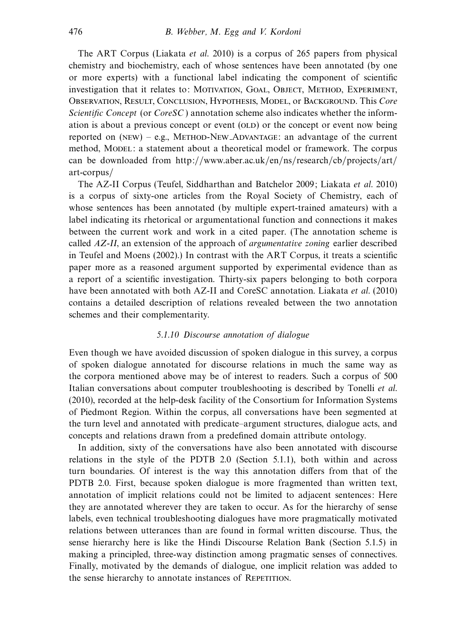The ART Corpus (Liakata et al. 2010) is a corpus of 265 papers from physical chemistry and biochemistry, each of whose sentences have been annotated (by one or more experts) with a functional label indicating the component of scientific investigation that it relates to: Motivation, Goal, Object, Method, Experiment, Observation, Result, Conclusion, Hypothesis, Model, or Background. This Core Scientific Concept (or  $CoreSC$ ) annotation scheme also indicates whether the information is about a previous concept or event (OLD) or the concept or event now being reported on  $(NEW)$  – e.g., METHOD-NEW\_ADVANTAGE: an advantage of the current method, Model: a statement about a theoretical model or framework. The corpus can be downloaded from http://www.aber.ac.uk/en/ns/research/cb/projects/art/ art-corpus/

The AZ-II Corpus (Teufel, Siddharthan and Batchelor 2009; Liakata et al. 2010) is a corpus of sixty-one articles from the Royal Society of Chemistry, each of whose sentences has been annotated (by multiple expert-trained amateurs) with a label indicating its rhetorical or argumentational function and connections it makes between the current work and work in a cited paper. (The annotation scheme is called AZ-II, an extension of the approach of argumentative zoning earlier described in Teufel and Moens (2002).) In contrast with the ART Corpus, it treats a scientific paper more as a reasoned argument supported by experimental evidence than as a report of a scientific investigation. Thirty-six papers belonging to both corpora have been annotated with both AZ-II and CoreSC annotation. Liakata et al. (2010) contains a detailed description of relations revealed between the two annotation schemes and their complementarity.

## 5.1.10 Discourse annotation of dialogue

Even though we have avoided discussion of spoken dialogue in this survey, a corpus of spoken dialogue annotated for discourse relations in much the same way as the corpora mentioned above may be of interest to readers. Such a corpus of 500 Italian conversations about computer troubleshooting is described by Tonelli et al. (2010), recorded at the help-desk facility of the Consortium for Information Systems of Piedmont Region. Within the corpus, all conversations have been segmented at the turn level and annotated with predicate–argument structures, dialogue acts, and concepts and relations drawn from a predefined domain attribute ontology.

In addition, sixty of the conversations have also been annotated with discourse relations in the style of the PDTB 2.0 (Section 5.1.1), both within and across turn boundaries. Of interest is the way this annotation differs from that of the PDTB 2.0. First, because spoken dialogue is more fragmented than written text, annotation of implicit relations could not be limited to adjacent sentences: Here they are annotated wherever they are taken to occur. As for the hierarchy of sense labels, even technical troubleshooting dialogues have more pragmatically motivated relations between utterances than are found in formal written discourse. Thus, the sense hierarchy here is like the Hindi Discourse Relation Bank (Section 5.1.5) in making a principled, three-way distinction among pragmatic senses of connectives. Finally, motivated by the demands of dialogue, one implicit relation was added to the sense hierarchy to annotate instances of REPETITION.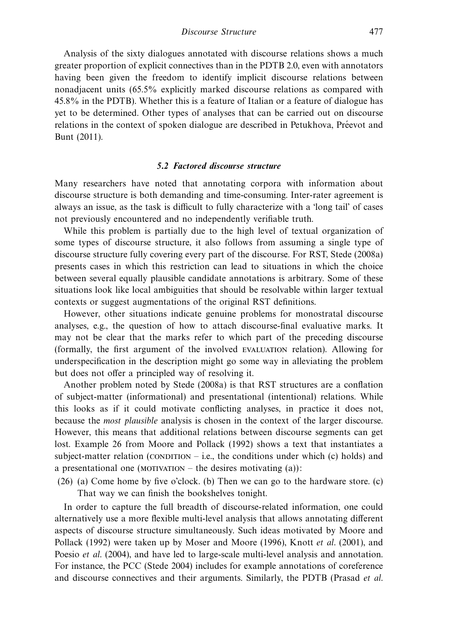Analysis of the sixty dialogues annotated with discourse relations shows a much greater proportion of explicit connectives than in the PDTB 2.0, even with annotators having been given the freedom to identify implicit discourse relations between nonadjacent units (65.5% explicitly marked discourse relations as compared with 45.8% in the PDTB). Whether this is a feature of Italian or a feature of dialogue has yet to be determined. Other types of analyses that can be carried out on discourse relations in the context of spoken dialogue are described in Petukhova, Préevot and Bunt (2011).

#### *5.2 Factored discourse structure*

Many researchers have noted that annotating corpora with information about discourse structure is both demanding and time-consuming. Inter-rater agreement is always an issue, as the task is difficult to fully characterize with a 'long tail' of cases not previously encountered and no independently verifiable truth.

While this problem is partially due to the high level of textual organization of some types of discourse structure, it also follows from assuming a single type of discourse structure fully covering every part of the discourse. For RST, Stede (2008a) presents cases in which this restriction can lead to situations in which the choice between several equally plausible candidate annotations is arbitrary. Some of these situations look like local ambiguities that should be resolvable within larger textual contexts or suggest augmentations of the original RST definitions.

However, other situations indicate genuine problems for monostratal discourse analyses, e.g., the question of how to attach discourse-final evaluative marks. It may not be clear that the marks refer to which part of the preceding discourse (formally, the first argument of the involved EVALUATION relation). Allowing for underspecification in the description might go some way in alleviating the problem but does not offer a principled way of resolving it.

Another problem noted by Stede (2008a) is that RST structures are a conflation of subject-matter (informational) and presentational (intentional) relations. While this looks as if it could motivate conflicting analyses, in practice it does not, because the most plausible analysis is chosen in the context of the larger discourse. However, this means that additional relations between discourse segments can get lost. Example 26 from Moore and Pollack (1992) shows a text that instantiates a subject-matter relation (CONDITION – i.e., the conditions under which (c) holds) and a presentational one (MOTIVATION – the desires motivating  $(a)$ ):

(26) (a) Come home by five o'clock. (b) Then we can go to the hardware store. (c) That way we can finish the bookshelves tonight.

In order to capture the full breadth of discourse-related information, one could alternatively use a more flexible multi-level analysis that allows annotating different aspects of discourse structure simultaneously. Such ideas motivated by Moore and Pollack (1992) were taken up by Moser and Moore (1996), Knott et al. (2001), and Poesio *et al.* (2004), and have led to large-scale multi-level analysis and annotation. For instance, the PCC (Stede 2004) includes for example annotations of coreference and discourse connectives and their arguments. Similarly, the PDTB (Prasad et al.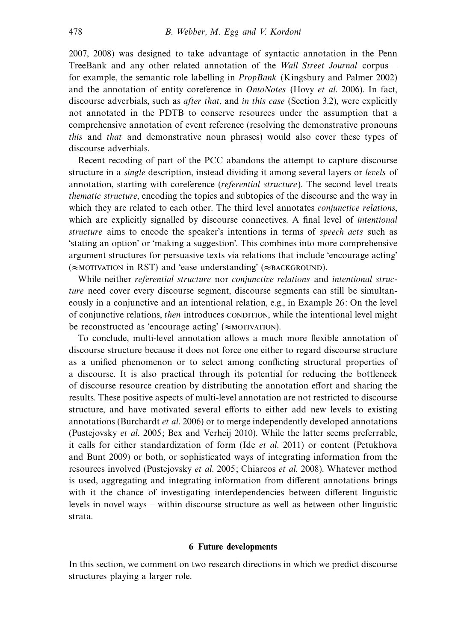2007, 2008) was designed to take advantage of syntactic annotation in the Penn TreeBank and any other related annotation of the Wall Street Journal corpus – for example, the semantic role labelling in PropBank (Kingsbury and Palmer 2002) and the annotation of entity coreference in *OntoNotes* (Hovy *et al.* 2006). In fact, discourse adverbials, such as *after that*, and in this case (Section 3.2), were explicitly not annotated in the PDTB to conserve resources under the assumption that a comprehensive annotation of event reference (resolving the demonstrative pronouns this and that and demonstrative noun phrases) would also cover these types of discourse adverbials.

Recent recoding of part of the PCC abandons the attempt to capture discourse structure in a single description, instead dividing it among several layers or levels of annotation, starting with coreference *(referential structure)*. The second level treats thematic structure, encoding the topics and subtopics of the discourse and the way in which they are related to each other. The third level annotates *conjunctive relations*, which are explicitly signalled by discourse connectives. A final level of *intentional* structure aims to encode the speaker's intentions in terms of speech acts such as 'stating an option' or 'making a suggestion'. This combines into more comprehensive argument structures for persuasive texts via relations that include 'encourage acting' (≈motivation in RST) and 'ease understanding' (≈background).

While neither referential structure nor conjunctive relations and intentional structure need cover every discourse segment, discourse segments can still be simultaneously in a conjunctive and an intentional relation, e.g., in Example 26: On the level of conjunctive relations, then introduces CONDITION, while the intentional level might be reconstructed as 'encourage acting' ( $\approx$ MOTIVATION).

To conclude, multi-level annotation allows a much more flexible annotation of discourse structure because it does not force one either to regard discourse structure as a unified phenomenon or to select among conflicting structural properties of a discourse. It is also practical through its potential for reducing the bottleneck of discourse resource creation by distributing the annotation effort and sharing the results. These positive aspects of multi-level annotation are not restricted to discourse structure, and have motivated several efforts to either add new levels to existing annotations (Burchardt et al. 2006) or to merge independently developed annotations (Pustejovsky et al. 2005; Bex and Verheij 2010). While the latter seems preferrable, it calls for either standardization of form (Ide et al. 2011) or content (Petukhova and Bunt 2009) or both, or sophisticated ways of integrating information from the resources involved (Pustejovsky et al. 2005; Chiarcos et al. 2008). Whatever method is used, aggregating and integrating information from different annotations brings with it the chance of investigating interdependencies between different linguistic levels in novel ways – within discourse structure as well as between other linguistic strata.

#### **6 Future developments**

In this section, we comment on two research directions in which we predict discourse structures playing a larger role.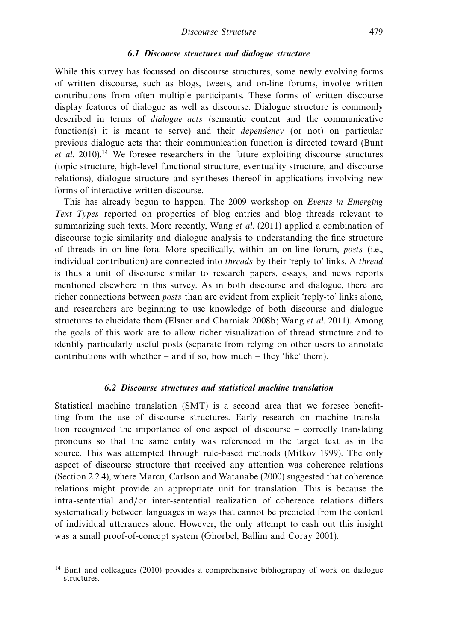#### *6.1 Discourse structures and dialogue structure*

While this survey has focussed on discourse structures, some newly evolving forms of written discourse, such as blogs, tweets, and on-line forums, involve written contributions from often multiple participants. These forms of written discourse display features of dialogue as well as discourse. Dialogue structure is commonly described in terms of dialogue acts (semantic content and the communicative function(s) it is meant to serve) and their *dependency* (or not) on particular previous dialogue acts that their communication function is directed toward (Bunt  $et$  al. 2010).<sup>14</sup> We foresee researchers in the future exploiting discourse structures (topic structure, high-level functional structure, eventuality structure, and discourse relations), dialogue structure and syntheses thereof in applications involving new forms of interactive written discourse.

This has already begun to happen. The 2009 workshop on Events in Emerging Text Types reported on properties of blog entries and blog threads relevant to summarizing such texts. More recently, Wang *et al.* (2011) applied a combination of discourse topic similarity and dialogue analysis to understanding the fine structure of threads in on-line fora. More specifically, within an on-line forum, posts (i.e., individual contribution) are connected into *threads* by their 'reply-to' links. A *thread* is thus a unit of discourse similar to research papers, essays, and news reports mentioned elsewhere in this survey. As in both discourse and dialogue, there are richer connections between posts than are evident from explicit 'reply-to' links alone, and researchers are beginning to use knowledge of both discourse and dialogue structures to elucidate them (Elsner and Charniak 2008b; Wang et al. 2011). Among the goals of this work are to allow richer visualization of thread structure and to identify particularly useful posts (separate from relying on other users to annotate contributions with whether – and if so, how much – they 'like' them).

## *6.2 Discourse structures and statistical machine translation*

Statistical machine translation (SMT) is a second area that we foresee benefitting from the use of discourse structures. Early research on machine translation recognized the importance of one aspect of discourse – correctly translating pronouns so that the same entity was referenced in the target text as in the source. This was attempted through rule-based methods (Mitkov 1999). The only aspect of discourse structure that received any attention was coherence relations (Section 2.2.4), where Marcu, Carlson and Watanabe (2000) suggested that coherence relations might provide an appropriate unit for translation. This is because the intra-sentential and/or inter-sentential realization of coherence relations differs systematically between languages in ways that cannot be predicted from the content of individual utterances alone. However, the only attempt to cash out this insight was a small proof-of-concept system (Ghorbel, Ballim and Coray 2001).

<sup>&</sup>lt;sup>14</sup> Bunt and colleagues (2010) provides a comprehensive bibliography of work on dialogue structures.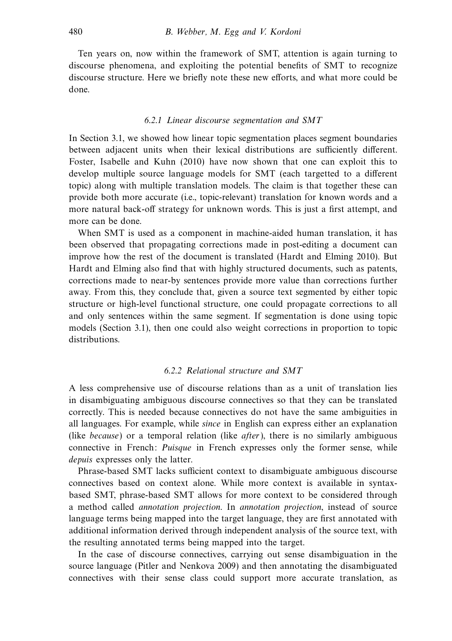Ten years on, now within the framework of SMT, attention is again turning to discourse phenomena, and exploiting the potential benefits of SMT to recognize discourse structure. Here we briefly note these new efforts, and what more could be done.

#### 6.2.1 Linear discourse segmentation and SMT

In Section 3.1, we showed how linear topic segmentation places segment boundaries between adjacent units when their lexical distributions are sufficiently different. Foster, Isabelle and Kuhn (2010) have now shown that one can exploit this to develop multiple source language models for SMT (each targetted to a different topic) along with multiple translation models. The claim is that together these can provide both more accurate (i.e., topic-relevant) translation for known words and a more natural back-off strategy for unknown words. This is just a first attempt, and more can be done.

When SMT is used as a component in machine-aided human translation, it has been observed that propagating corrections made in post-editing a document can improve how the rest of the document is translated (Hardt and Elming 2010). But Hardt and Elming also find that with highly structured documents, such as patents, corrections made to near-by sentences provide more value than corrections further away. From this, they conclude that, given a source text segmented by either topic structure or high-level functional structure, one could propagate corrections to all and only sentences within the same segment. If segmentation is done using topic models (Section 3.1), then one could also weight corrections in proportion to topic distributions.

## 6.2.2 Relational structure and SMT

A less comprehensive use of discourse relations than as a unit of translation lies in disambiguating ambiguous discourse connectives so that they can be translated correctly. This is needed because connectives do not have the same ambiguities in all languages. For example, while since in English can express either an explanation (like *because*) or a temporal relation (like *after*), there is no similarly ambiguous connective in French: Puisque in French expresses only the former sense, while depuis expresses only the latter.

Phrase-based SMT lacks sufficient context to disambiguate ambiguous discourse connectives based on context alone. While more context is available in syntaxbased SMT, phrase-based SMT allows for more context to be considered through a method called annotation projection. In annotation projection, instead of source language terms being mapped into the target language, they are first annotated with additional information derived through independent analysis of the source text, with the resulting annotated terms being mapped into the target.

In the case of discourse connectives, carrying out sense disambiguation in the source language (Pitler and Nenkova 2009) and then annotating the disambiguated connectives with their sense class could support more accurate translation, as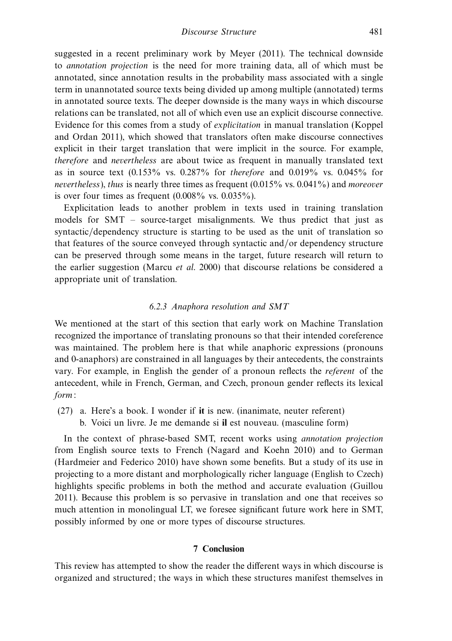suggested in a recent preliminary work by Meyer (2011). The technical downside to annotation projection is the need for more training data, all of which must be annotated, since annotation results in the probability mass associated with a single term in unannotated source texts being divided up among multiple (annotated) terms in annotated source texts. The deeper downside is the many ways in which discourse relations can be translated, not all of which even use an explicit discourse connective. Evidence for this comes from a study of explicitation in manual translation (Koppel and Ordan 2011), which showed that translators often make discourse connectives explicit in their target translation that were implicit in the source. For example, therefore and nevertheless are about twice as frequent in manually translated text as in source text  $(0.153\%$  vs.  $0.287\%$  for therefore and  $0.019\%$  vs.  $0.045\%$  for nevertheless), thus is nearly three times as frequent (0.015% vs. 0.041%) and moreover is over four times as frequent  $(0.008\% \text{ vs. } 0.035\%).$ 

Explicitation leads to another problem in texts used in training translation models for SMT – source-target misalignments. We thus predict that just as syntactic/dependency structure is starting to be used as the unit of translation so that features of the source conveyed through syntactic and/or dependency structure can be preserved through some means in the target, future research will return to the earlier suggestion (Marcu et al. 2000) that discourse relations be considered a appropriate unit of translation.

#### 6.2.3 Anaphora resolution and SMT

We mentioned at the start of this section that early work on Machine Translation recognized the importance of translating pronouns so that their intended coreference was maintained. The problem here is that while anaphoric expressions (pronouns and 0-anaphors) are constrained in all languages by their antecedents, the constraints vary. For example, in English the gender of a pronoun reflects the referent of the antecedent, while in French, German, and Czech, pronoun gender reflects its lexical form:

- (27) a. Here's a book. I wonder if **it** is new. (inanimate, neuter referent)
	- b. Voici un livre. Je me demande si **il** est nouveau. (masculine form)

In the context of phrase-based SMT, recent works using annotation projection from English source texts to French (Nagard and Koehn 2010) and to German (Hardmeier and Federico 2010) have shown some benefits. But a study of its use in projecting to a more distant and morphologically richer language (English to Czech) highlights specific problems in both the method and accurate evaluation (Guillou 2011). Because this problem is so pervasive in translation and one that receives so much attention in monolingual LT, we foresee significant future work here in SMT, possibly informed by one or more types of discourse structures.

## **7 Conclusion**

This review has attempted to show the reader the different ways in which discourse is organized and structured; the ways in which these structures manifest themselves in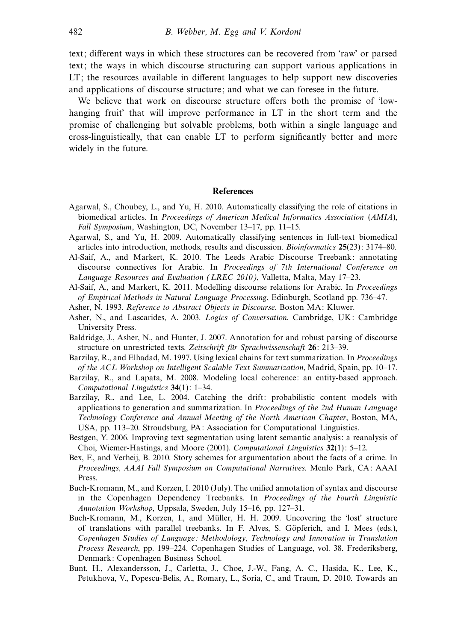text; different ways in which these structures can be recovered from 'raw' or parsed text; the ways in which discourse structuring can support various applications in LT; the resources available in different languages to help support new discoveries and applications of discourse structure; and what we can foresee in the future.

We believe that work on discourse structure offers both the promise of 'lowhanging fruit' that will improve performance in LT in the short term and the promise of challenging but solvable problems, both within a single language and cross-linguistically, that can enable LT to perform significantly better and more widely in the future.

#### **References**

- Agarwal, S., Choubey, L., and Yu, H. 2010. Automatically classifying the role of citations in biomedical articles. In Proceedings of American Medical Informatics Association (AMIA), Fall Symposium, Washington, DC, November 13–17, pp. 11–15.
- Agarwal, S., and Yu, H. 2009. Automatically classifying sentences in full-text biomedical articles into introduction, methods, results and discussion. Bioinformatics **25**(23): 3174–80.
- Al-Saif, A., and Markert, K. 2010. The Leeds Arabic Discourse Treebank: annotating discourse connectives for Arabic. In Proceedings of 7th International Conference on Language Resources and Evaluation (LREC 2010), Valletta, Malta, May 17–23.
- Al-Saif, A., and Markert, K. 2011. Modelling discourse relations for Arabic. In Proceedings of Empirical Methods in Natural Language Processing, Edinburgh, Scotland pp. 736–47.
- Asher, N. 1993. Reference to Abstract Objects in Discourse. Boston MA: Kluwer.
- Asher, N., and Lascarides, A. 2003. Logics of Conversation. Cambridge, UK: Cambridge University Press.
- Baldridge, J., Asher, N., and Hunter, J. 2007. Annotation for and robust parsing of discourse structure on unrestricted texts. Zeitschrift für Sprachwissenschaft 26: 213–39.
- Barzilay, R., and Elhadad, M. 1997. Using lexical chains for text summarization. In Proceedings of the ACL Workshop on Intelligent Scalable Text Summarization, Madrid, Spain, pp. 10–17.
- Barzilay, R., and Lapata, M. 2008. Modeling local coherence: an entity-based approach. Computational Linguistics **34**(1): 1–34.
- Barzilay, R., and Lee, L. 2004. Catching the drift: probabilistic content models with applications to generation and summarization. In Proceedings of the 2nd Human Language Technology Conference and Annual Meeting of the North American Chapter, Boston, MA, USA, pp. 113–20. Stroudsburg, PA: Association for Computational Linguistics.
- Bestgen, Y. 2006. Improving text segmentation using latent semantic analysis: a reanalysis of Choi, Wiemer-Hastings, and Moore (2001). Computational Linguistics **32**(1): 5–12.
- Bex, F., and Verheij, B. 2010. Story schemes for argumentation about the facts of a crime. In Proceedings, AAAI Fall Symposium on Computational Narratives. Menlo Park, CA: AAAI Press.
- Buch-Kromann, M., and Korzen, I. 2010 (July). The unified annotation of syntax and discourse in the Copenhagen Dependency Treebanks. In Proceedings of the Fourth Linguistic Annotation Workshop, Uppsala, Sweden, July 15–16, pp. 127–31.
- Buch-Kromann, M., Korzen, I., and Müller, H. H. 2009. Uncovering the 'lost' structure of translations with parallel treebanks. In F. Alves, S. Göpferich, and I. Mees (eds.), Copenhagen Studies of Language: Methodology, Technology and Innovation in Translation Process Research, pp. 199–224. Copenhagen Studies of Language, vol. 38. Frederiksberg, Denmark: Copenhagen Business School.
- Bunt, H., Alexandersson, J., Carletta, J., Choe, J.-W., Fang, A. C., Hasida, K., Lee, K., Petukhova, V., Popescu-Belis, A., Romary, L., Soria, C., and Traum, D. 2010. Towards an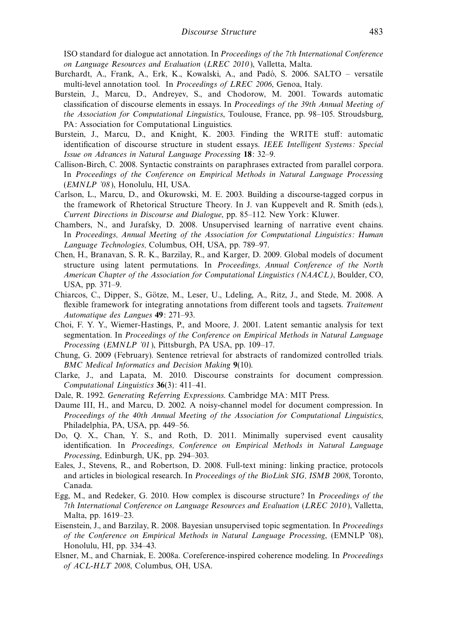ISO standard for dialogue act annotation. In Proceedings of the 7th International Conference on Language Resources and Evaluation (LREC 2010 ), Valletta, Malta.

- Burchardt, A., Frank, A., Erk, K., Kowalski, A., and Padó, S. 2006. SALTO versatile multi-level annotation tool. In Proceedings of LREC 2006, Genoa, Italy.
- Burstein, J., Marcu, D., Andreyev, S., and Chodorow, M. 2001. Towards automatic classification of discourse elements in essays. In Proceedings of the 39th Annual Meeting of the Association for Computational Linguistics, Toulouse, France, pp. 98–105. Stroudsburg, PA: Association for Computational Linguistics.
- Burstein, J., Marcu, D., and Knight, K. 2003. Finding the WRITE stuff: automatic identification of discourse structure in student essays. IEEE Intelligent Systems: Special Issue on Advances in Natural Language Processing **18**: 32–9.
- Callison-Birch, C. 2008. Syntactic constraints on paraphrases extracted from parallel corpora. In Proceedings of the Conference on Empirical Methods in Natural Language Processing (EMNLP '08 ), Honolulu, HI, USA.
- Carlson, L., Marcu, D., and Okurowski, M. E. 2003. Building a discourse-tagged corpus in the framework of Rhetorical Structure Theory. In J. van Kuppevelt and R. Smith (eds.), Current Directions in Discourse and Dialogue, pp. 85–112. New York: Kluwer.
- Chambers, N., and Jurafsky, D. 2008. Unsupervised learning of narrative event chains. In Proceedings, Annual Meeting of the Association for Computational Linguistics: Human Language Technologies, Columbus, OH, USA, pp. 789–97.
- Chen, H., Branavan, S. R. K., Barzilay, R., and Karger, D. 2009. Global models of document structure using latent permutations. In Proceedings, Annual Conference of the North American Chapter of the Association for Computational Linguistics (NAACL), Boulder, CO, USA, pp. 371–9.
- Chiarcos, C., Dipper, S., Gotze, M., Leser, U., Ldeling, A., Ritz, J., and Stede, M. 2008. A ¨ flexible framework for integrating annotations from different tools and tagsets. Traitement Automatique des Langues **49**: 271–93.
- Choi, F. Y. Y., Wiemer-Hastings, P., and Moore, J. 2001. Latent semantic analysis for text segmentation. In Proceedings of the Conference on Empirical Methods in Natural Language Processing (EMNLP '01 ), Pittsburgh, PA USA, pp. 109–17.
- Chung, G. 2009 (February). Sentence retrieval for abstracts of randomized controlled trials. BMC Medical Informatics and Decision Making **9**(10).
- Clarke, J., and Lapata, M. 2010. Discourse constraints for document compression. Computational Linguistics **36**(3): 411–41.
- Dale, R. 1992. Generating Referring Expressions. Cambridge MA: MIT Press.
- Daume III, H., and Marcu, D. 2002. A noisy-channel model for document compression. In Proceedings of the 40th Annual Meeting of the Association for Computational Linguistics, Philadelphia, PA, USA, pp. 449–56.
- Do, Q. X., Chan, Y. S., and Roth, D. 2011. Minimally supervised event causality identification. In Proceedings, Conference on Empirical Methods in Natural Language Processing, Edinburgh, UK, pp. 294–303.
- Eales, J., Stevens, R., and Robertson, D. 2008. Full-text mining: linking practice, protocols and articles in biological research. In Proceedings of the BioLink SIG, ISMB 2008, Toronto, Canada.
- Egg, M., and Redeker, G. 2010. How complex is discourse structure? In Proceedings of the 7th International Conference on Language Resources and Evaluation (LREC 2010 ), Valletta, Malta, pp. 1619–23.
- Eisenstein, J., and Barzilay, R. 2008. Bayesian unsupervised topic segmentation. In Proceedings of the Conference on Empirical Methods in Natural Language Processing, (EMNLP '08), Honolulu, HI, pp. 334–43.
- Elsner, M., and Charniak, E. 2008a. Coreference-inspired coherence modeling. In Proceedings of ACL-HLT 2008, Columbus, OH, USA.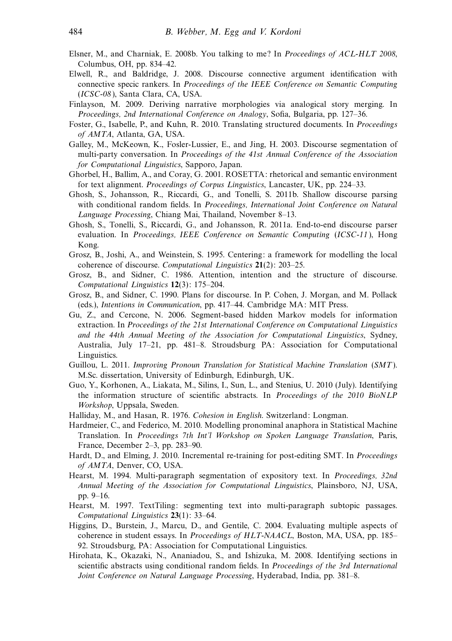- Elsner, M., and Charniak, E. 2008b. You talking to me? In Proceedings of ACL-HLT 2008, Columbus, OH, pp. 834–42.
- Elwell, R., and Baldridge, J. 2008. Discourse connective argument identification with connective specic rankers. In Proceedings of the IEEE Conference on Semantic Computing (ICSC-08 ), Santa Clara, CA, USA.
- Finlayson, M. 2009. Deriving narrative morphologies via analogical story merging. In Proceedings, 2nd International Conference on Analogy, Sofia, Bulgaria, pp. 127–36.
- Foster, G., Isabelle, P., and Kuhn, R. 2010. Translating structured documents. In Proceedings of AMTA, Atlanta, GA, USA.
- Galley, M., McKeown, K., Fosler-Lussier, E., and Jing, H. 2003. Discourse segmentation of multi-party conversation. In Proceedings of the 41st Annual Conference of the Association for Computational Linguistics, Sapporo, Japan.
- Ghorbel, H., Ballim, A., and Coray, G. 2001. ROSETTA: rhetorical and semantic environment for text alignment. Proceedings of Corpus Linguistics, Lancaster, UK, pp. 224–33.
- Ghosh, S., Johansson, R., Riccardi, G., and Tonelli, S. 2011b. Shallow discourse parsing with conditional random fields. In Proceedings, International Joint Conference on Natural Language Processing, Chiang Mai, Thailand, November 8–13.
- Ghosh, S., Tonelli, S., Riccardi, G., and Johansson, R. 2011a. End-to-end discourse parser evaluation. In Proceedings, IEEE Conference on Semantic Computing (ICSC-11 ), Hong Kong.
- Grosz, B., Joshi, A., and Weinstein, S. 1995. Centering: a framework for modelling the local coherence of discourse. Computational Linguistics **21**(2): 203–25.
- Grosz, B., and Sidner, C. 1986. Attention, intention and the structure of discourse. Computational Linguistics **12**(3): 175–204.
- Grosz, B., and Sidner, C. 1990. Plans for discourse. In P. Cohen, J. Morgan, and M. Pollack (eds.), Intentions in Communication, pp. 417–44. Cambridge MA: MIT Press.
- Gu, Z., and Cercone, N. 2006. Segment-based hidden Markov models for information extraction. In Proceedings of the 21st International Conference on Computational Linguistics and the 44th Annual Meeting of the Association for Computational Linguistics, Sydney, Australia, July 17–21, pp. 481–8. Stroudsburg PA: Association for Computational Linguistics.
- Guillou, L. 2011. Improving Pronoun Translation for Statistical Machine Translation (SMT). M.Sc. dissertation, University of Edinburgh, Edinburgh, UK.
- Guo, Y., Korhonen, A., Liakata, M., Silins, I., Sun, L., and Stenius, U. 2010 (July). Identifying the information structure of scientific abstracts. In Proceedings of the 2010 BioNLP Workshop, Uppsala, Sweden.
- Halliday, M., and Hasan, R. 1976. Cohesion in English. Switzerland: Longman.
- Hardmeier, C., and Federico, M. 2010. Modelling pronominal anaphora in Statistical Machine Translation. In Proceedings 7th Int'l Workshop on Spoken Language Translation, Paris, France, December 2–3, pp. 283–90.
- Hardt, D., and Elming, J. 2010. Incremental re-training for post-editing SMT. In *Proceedings* of AMTA, Denver, CO, USA.
- Hearst, M. 1994. Multi-paragraph segmentation of expository text. In Proceedings, 32nd Annual Meeting of the Association for Computational Linguistics, Plainsboro, NJ, USA, pp. 9–16.
- Hearst, M. 1997. TextTiling: segmenting text into multi-paragraph subtopic passages. Computational Linguistics **23**(1): 33–64.
- Higgins, D., Burstein, J., Marcu, D., and Gentile, C. 2004. Evaluating multiple aspects of coherence in student essays. In Proceedings of HLT-NAACL, Boston, MA, USA, pp. 185– 92. Stroudsburg, PA: Association for Computational Linguistics.
- Hirohata, K., Okazaki, N., Ananiadou, S., and Ishizuka, M. 2008. Identifying sections in scientific abstracts using conditional random fields. In Proceedings of the 3rd International Joint Conference on Natural Language Processing, Hyderabad, India, pp. 381–8.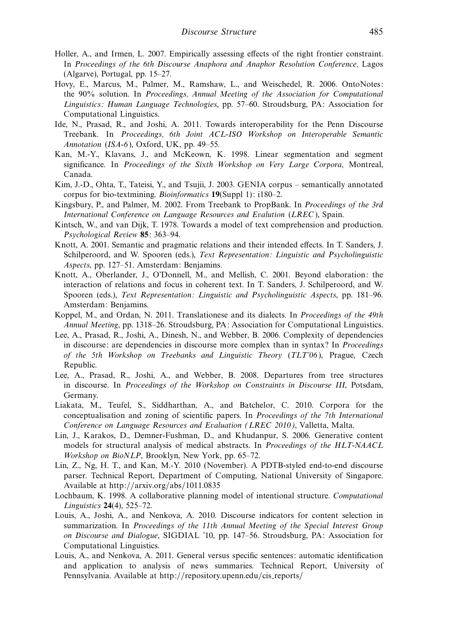- Holler, A., and Irmen, L. 2007. Empirically assessing effects of the right frontier constraint. In Proceedings of the 6th Discourse Anaphora and Anaphor Resolution Conference, Lagos (Algarve), Portugal, pp. 15–27.
- Hovy, E., Marcus, M., Palmer, M., Ramshaw, L., and Weischedel, R. 2006. OntoNotes: the 90% solution. In Proceedings, Annual Meeting of the Association for Computational Linguistics: Human Language Technologies, pp. 57–60. Stroudsburg, PA: Association for Computational Linguistics.
- Ide, N., Prasad, R., and Joshi, A. 2011. Towards interoperability for the Penn Discourse Treebank. In Proceedings, 6th Joint ACL-ISO Workshop on Interoperable Semantic Annotation (ISA-6), Oxford, UK, pp. 49–55.
- Kan, M.-Y., Klavans, J., and McKeown, K. 1998. Linear segmentation and segment significance. In Proceedings of the Sixth Workshop on Very Large Corpora, Montreal, Canada.
- Kim, J.-D., Ohta, T., Tateisi, Y., and Tsujii, J. 2003. GENIA corpus semantically annotated corpus for bio-textmining. Bioinformatics **19**(Suppl 1): i180–2.
- Kingsbury, P., and Palmer, M. 2002. From Treebank to PropBank. In Proceedings of the 3rd International Conference on Language Resources and Evalution (LREC ), Spain.
- Kintsch, W., and van Dijk, T. 1978. Towards a model of text comprehension and production. Psychological Review **85**: 363–94.
- Knott, A. 2001. Semantic and pragmatic relations and their intended effects. In T. Sanders, J. Schilperoord, and W. Spooren (eds.), Text Representation: Linguistic and Psycholinguistic Aspects, pp. 127–51. Amsterdam: Benjamins.
- Knott, A., Oberlander, J., O'Donnell, M., and Mellish, C. 2001. Beyond elaboration: the interaction of relations and focus in coherent text. In T. Sanders, J. Schilperoord, and W. Spooren (eds.), Text Representation: Linguistic and Psycholinguistic Aspects, pp. 181–96. Amsterdam: Benjamins.
- Koppel, M., and Ordan, N. 2011. Translationese and its dialects. In Proceedings of the 49th Annual Meeting, pp. 1318–26. Stroudsburg, PA: Association for Computational Linguistics.
- Lee, A., Prasad, R., Joshi, A., Dinesh, N., and Webber, B. 2006. Complexity of dependencies in discourse: are dependencies in discourse more complex than in syntax? In *Proceedings* of the 5th Workshop on Treebanks and Linguistic Theory (TLT'06), Prague, Czech Republic.
- Lee, A., Prasad, R., Joshi, A., and Webber, B. 2008. Departures from tree structures in discourse. In Proceedings of the Workshop on Constraints in Discourse III, Potsdam, Germany.
- Liakata, M., Teufel, S., Siddharthan, A., and Batchelor, C. 2010. Corpora for the conceptualisation and zoning of scientific papers. In Proceedings of the 7th International Conference on Language Resources and Evaluation (LREC 2010), Valletta, Malta.
- Lin, J., Karakos, D., Demner-Fushman, D., and Khudanpur, S. 2006. Generative content models for structural analysis of medical abstracts. In Proceedings of the HLT-NAACL Workshop on BioNLP, Brooklyn, New York, pp. 65–72.
- Lin, Z., Ng, H. T., and Kan, M.-Y. 2010 (November). A PDTB-styled end-to-end discourse parser. Technical Report, Department of Computing, National University of Singapore. Available at http://arxiv.org/abs/1011.0835
- Lochbaum, K. 1998. A collaborative planning model of intentional structure. Computational Linguistics **24**(4), 525–72.
- Louis, A., Joshi, A., and Nenkova, A. 2010. Discourse indicators for content selection in summarization. In Proceedings of the 11th Annual Meeting of the Special Interest Group on Discourse and Dialogue, SIGDIAL '10, pp. 147–56. Stroudsburg, PA: Association for Computational Linguistics.
- Louis, A., and Nenkova, A. 2011. General versus specific sentences: automatic identification and application to analysis of news summaries. Technical Report, University of Pennsylvania. Available at http://repository.upenn.edu/cis reports/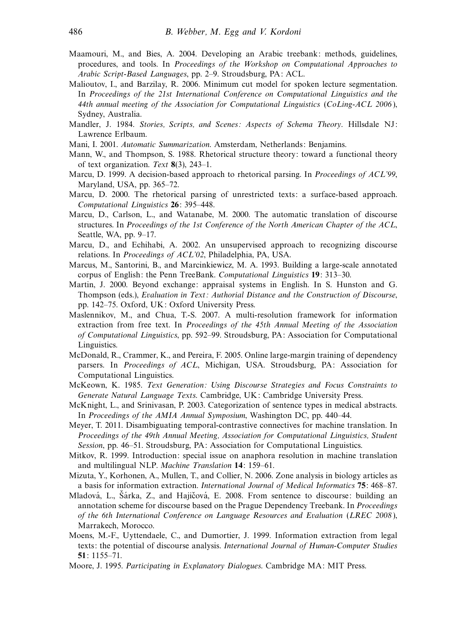- Maamouri, M., and Bies, A. 2004. Developing an Arabic treebank: methods, guidelines, procedures, and tools. In Proceedings of the Workshop on Computational Approaches to Arabic Script-Based Languages, pp. 2–9. Stroudsburg, PA: ACL.
- Malioutov, I., and Barzilay, R. 2006. Minimum cut model for spoken lecture segmentation. In Proceedings of the 21st International Conference on Computational Linguistics and the 44th annual meeting of the Association for Computational Linguistics (CoLing-ACL 2006), Sydney, Australia.
- Mandler, J. 1984. Stories, Scripts, and Scenes: Aspects of Schema Theory. Hillsdale NJ: Lawrence Erlbaum.
- Mani, I. 2001. *Automatic Summarization*. Amsterdam, Netherlands: Benjamins.
- Mann, W., and Thompson, S. 1988. Rhetorical structure theory: toward a functional theory of text organization. Text **8**(3), 243–1.
- Marcu, D. 1999. A decision-based approach to rhetorical parsing. In *Proceedings of ACL'99*, Maryland, USA, pp. 365–72.
- Marcu, D. 2000. The rhetorical parsing of unrestricted texts: a surface-based approach. Computational Linguistics **26**: 395–448.
- Marcu, D., Carlson, L., and Watanabe, M. 2000. The automatic translation of discourse structures. In Proceedings of the 1st Conference of the North American Chapter of the ACL, Seattle, WA, pp. 9–17.
- Marcu, D., and Echihabi, A. 2002. An unsupervised approach to recognizing discourse relations. In Proceedings of ACL'02, Philadelphia, PA, USA.
- Marcus, M., Santorini, B., and Marcinkiewicz, M. A. 1993. Building a large-scale annotated corpus of English: the Penn TreeBank. Computational Linguistics **19**: 313–30.
- Martin, J. 2000. Beyond exchange: appraisal systems in English. In S. Hunston and G. Thompson (eds.), Evaluation in Text: Authorial Distance and the Construction of Discourse, pp. 142–75. Oxford, UK: Oxford University Press.
- Maslennikov, M., and Chua, T.-S. 2007. A multi-resolution framework for information extraction from free text. In Proceedings of the 45th Annual Meeting of the Association of Computational Linguistics, pp. 592–99. Stroudsburg, PA: Association for Computational Linguistics.
- McDonald, R., Crammer, K., and Pereira, F. 2005. Online large-margin training of dependency parsers. In Proceedings of ACL, Michigan, USA. Stroudsburg, PA: Association for Computational Linguistics.
- McKeown, K. 1985. Text Generation: Using Discourse Strategies and Focus Constraints to Generate Natural Language Texts. Cambridge, UK: Cambridge University Press.
- McKnight, L., and Srinivasan, P. 2003. Categorization of sentence types in medical abstracts. In Proceedings of the AMIA Annual Symposium, Washington DC, pp. 440–44.
- Meyer, T. 2011. Disambiguating temporal-contrastive connectives for machine translation. In Proceedings of the 49th Annual Meeting, Association for Computational Linguistics, Student Session, pp. 46–51. Stroudsburg, PA: Association for Computational Linguistics.
- Mitkov, R. 1999. Introduction: special issue on anaphora resolution in machine translation and multilingual NLP. Machine Translation **14**: 159–61.
- Mizuta, Y., Korhonen, A., Mullen, T., and Collier, N. 2006. Zone analysis in biology articles as a basis for information extraction. International Journal of Medical Informatics **75**: 468–87.
- Mladová, L., Šárka, Z., and Hajičová, E. 2008. From sentence to discourse: building an annotation scheme for discourse based on the Prague Dependency Treebank. In Proceedings of the 6th International Conference on Language Resources and Evaluation (LREC 2008 ), Marrakech, Morocco.
- Moens, M.-F., Uyttendaele, C., and Dumortier, J. 1999. Information extraction from legal texts: the potential of discourse analysis. International Journal of Human-Computer Studies **51**: 1155–71.
- Moore, J. 1995. Participating in Explanatory Dialogues. Cambridge MA: MIT Press.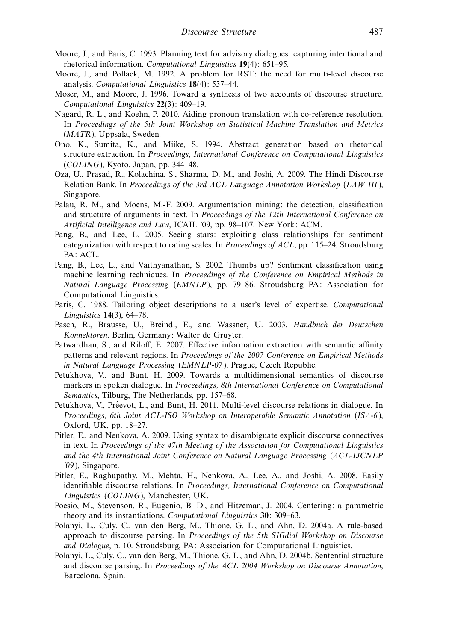- Moore, J., and Paris, C. 1993. Planning text for advisory dialogues: capturing intentional and rhetorical information. Computational Linguistics **19**(4): 651–95.
- Moore, J., and Pollack, M. 1992. A problem for RST: the need for multi-level discourse analysis. Computational Linguistics **18**(4): 537–44.
- Moser, M., and Moore, J. 1996. Toward a synthesis of two accounts of discourse structure. Computational Linguistics **22**(3): 409–19.
- Nagard, R. L., and Koehn, P. 2010. Aiding pronoun translation with co-reference resolution. In Proceedings of the 5th Joint Workshop on Statistical Machine Translation and Metrics (MATR), Uppsala, Sweden.
- Ono, K., Sumita, K., and Miike, S. 1994. Abstract generation based on rhetorical structure extraction. In Proceedings, International Conference on Computational Linguistics (COLING), Kyoto, Japan, pp. 344–48.
- Oza, U., Prasad, R., Kolachina, S., Sharma, D. M., and Joshi, A. 2009. The Hindi Discourse Relation Bank. In Proceedings of the 3rd ACL Language Annotation Workshop (LAW III), Singapore.
- Palau, R. M., and Moens, M.-F. 2009. Argumentation mining: the detection, classification and structure of arguments in text. In Proceedings of the 12th International Conference on Artificial Intelligence and Law, ICAIL '09, pp. 98–107. New York: ACM.
- Pang, B., and Lee, L. 2005. Seeing stars: exploiting class relationships for sentiment categorization with respect to rating scales. In Proceedings of ACL, pp. 115–24. Stroudsburg PA: ACL.
- Pang, B., Lee, L., and Vaithyanathan, S. 2002. Thumbs up? Sentiment classification using machine learning techniques. In Proceedings of the Conference on Empirical Methods in Natural Language Processing (EMNLP), pp. 79–86. Stroudsburg PA: Association for Computational Linguistics.
- Paris, C. 1988. Tailoring object descriptions to a user's level of expertise. Computational Linguistics **14**(3), 64–78.
- Pasch, R., Brausse, U., Breindl, E., and Wassner, U. 2003. Handbuch der Deutschen Konnektoren. Berlin, Germany: Walter de Gruyter.
- Patwardhan, S., and Riloff, E. 2007. Effective information extraction with semantic affinity patterns and relevant regions. In Proceedings of the 2007 Conference on Empirical Methods in Natural Language Processing (EMNLP-07 ), Prague, Czech Republic.
- Petukhova, V., and Bunt, H. 2009. Towards a multidimensional semantics of discourse markers in spoken dialogue. In Proceedings, 8th International Conference on Computational Semantics, Tilburg, The Netherlands, pp. 157–68.
- Petukhova, V., Préevot, L., and Bunt, H. 2011. Multi-level discourse relations in dialogue. In Proceedings, 6th Joint ACL-ISO Workshop on Interoperable Semantic Annotation (ISA-6), Oxford, UK, pp. 18–27.
- Pitler, E., and Nenkova, A. 2009. Using syntax to disambiguate explicit discourse connectives in text. In Proceedings of the 47th Meeting of the Association for Computational Linguistics and the 4th International Joint Conference on Natural Language Processing (ACL-IJCNLP '09 ), Singapore.
- Pitler, E., Raghupathy, M., Mehta, H., Nenkova, A., Lee, A., and Joshi, A. 2008. Easily identifiable discourse relations. In Proceedings, International Conference on Computational Linguistics (COLING), Manchester, UK.
- Poesio, M., Stevenson, R., Eugenio, B. D., and Hitzeman, J. 2004. Centering: a parametric theory and its instantiations. Computational Linguistics **30**: 309–63.
- Polanyi, L., Culy, C., van den Berg, M., Thione, G. L., and Ahn, D. 2004a. A rule-based approach to discourse parsing. In Proceedings of the 5th SIGdial Workshop on Discourse and Dialogue, p. 10. Stroudsburg, PA: Association for Computational Linguistics.
- Polanyi, L., Culy, C., van den Berg, M., Thione, G. L., and Ahn, D. 2004b. Sentential structure and discourse parsing. In Proceedings of the ACL 2004 Workshop on Discourse Annotation, Barcelona, Spain.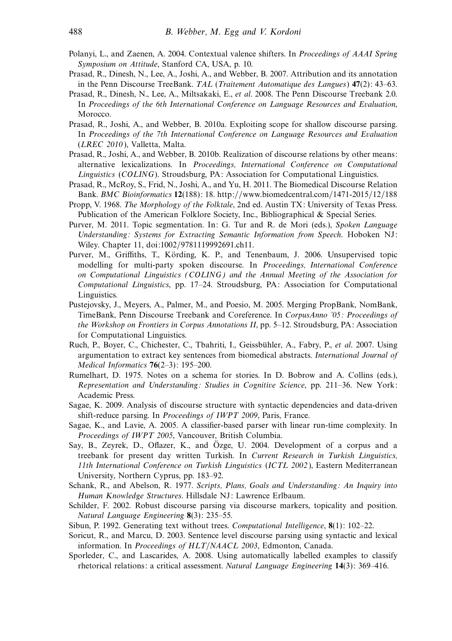- Polanyi, L., and Zaenen, A. 2004. Contextual valence shifters. In *Proceedings of AAAI Spring* Symposium on Attitude, Stanford CA, USA, p. 10.
- Prasad, R., Dinesh, N., Lee, A., Joshi, A., and Webber, B. 2007. Attribution and its annotation in the Penn Discourse TreeBank. TAL (Traitement Automatique des Langues) **47**(2): 43–63.
- Prasad, R., Dinesh, N., Lee, A., Miltsakaki, E., et al. 2008. The Penn Discourse Treebank 2.0. In Proceedings of the 6th International Conference on Language Resources and Evaluation, Morocco.
- Prasad, R., Joshi, A., and Webber, B. 2010a. Exploiting scope for shallow discourse parsing. In Proceedings of the 7th International Conference on Language Resources and Evaluation (LREC 2010 ), Valletta, Malta.
- Prasad, R., Joshi, A., and Webber, B. 2010b. Realization of discourse relations by other means: alternative lexicalizations. In Proceedings, International Conference on Computational Linguistics (COLING). Stroudsburg, PA: Association for Computational Linguistics.
- Prasad, R., McRoy, S., Frid, N., Joshi, A., and Yu, H. 2011. The Biomedical Discourse Relation Bank. BMC Bioinformatics **12**(188): 18. http://www.biomedcentral.com/1471-2015/12/188
- Propp, V. 1968. The Morphology of the Folktale, 2nd ed. Austin TX: University of Texas Press. Publication of the American Folklore Society, Inc., Bibliographical & Special Series.
- Purver, M. 2011. Topic segmentation. In: G. Tur and R. de Mori (eds.), Spoken Language Understanding: Systems for Extracting Semantic Information from Speech. Hoboken NJ: Wiley. Chapter 11, doi:1002/9781119992691.ch11.
- Purver, M., Griffiths, T., Körding, K. P., and Tenenbaum, J. 2006. Unsupervised topic modelling for multi-party spoken discourse. In Proceedings, International Conference on Computational Linguistics (COLING) and the Annual Meeting of the Association for Computational Linguistics, pp. 17–24. Stroudsburg, PA: Association for Computational Linguistics.
- Pustejovsky, J., Meyers, A., Palmer, M., and Poesio, M. 2005. Merging PropBank, NomBank, TimeBank, Penn Discourse Treebank and Coreference. In CorpusAnno '05: Proceedings of the Workshop on Frontiers in Corpus Annotations II, pp. 5–12. Stroudsburg, PA: Association for Computational Linguistics.
- Ruch, P., Boyer, C., Chichester, C., Tbahriti, I., Geissbühler, A., Fabry, P., et al. 2007. Using argumentation to extract key sentences from biomedical abstracts. International Journal of Medical Informatics **76**(2–3): 195–200.
- Rumelhart, D. 1975. Notes on a schema for stories. In D. Bobrow and A. Collins (eds.), Representation and Understanding: Studies in Cognitive Science, pp. 211–36. New York: Academic Press.
- Sagae, K. 2009. Analysis of discourse structure with syntactic dependencies and data-driven shift-reduce parsing. In Proceedings of IWPT 2009, Paris, France.
- Sagae, K., and Lavie, A. 2005. A classifier-based parser with linear run-time complexity. In Proceedings of IWPT 2005, Vancouver, British Columbia.
- Say, B., Zeyrek, D., Oflazer, K., and Özge, U. 2004. Development of a corpus and a treebank for present day written Turkish. In Current Research in Turkish Linguistics, 11th International Conference on Turkish Linguistics (ICTL 2002), Eastern Mediterranean University, Northern Cyprus, pp. 183–92.
- Schank, R., and Abelson, R. 1977. Scripts, Plans, Goals and Understanding: An Inquiry into Human Knowledge Structures. Hillsdale NJ: Lawrence Erlbaum.
- Schilder, F. 2002. Robust discourse parsing via discourse markers, topicality and position. Natural Language Engineering **8**(3): 235–55.
- Sibun, P. 1992. Generating text without trees. Computational Intelligence, **8**(1): 102–22.
- Soricut, R., and Marcu, D. 2003. Sentence level discourse parsing using syntactic and lexical information. In Proceedings of HLT/NAACL 2003, Edmonton, Canada.
- Sporleder, C., and Lascarides, A. 2008. Using automatically labelled examples to classify rhetorical relations: a critical assessment. Natural Language Engineering **14**(3): 369–416.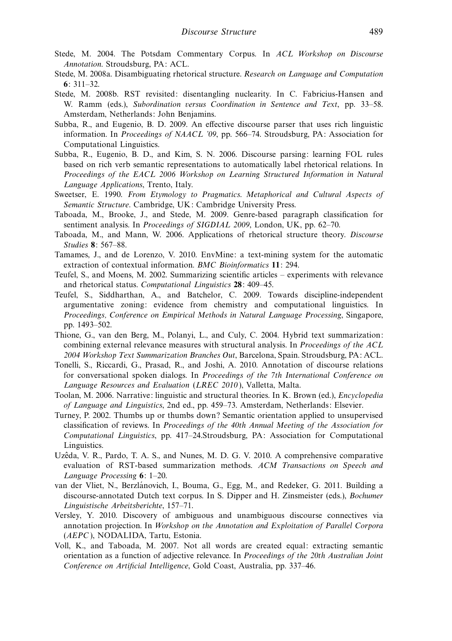- Stede, M. 2004. The Potsdam Commentary Corpus. In ACL Workshop on Discourse Annotation. Stroudsburg, PA: ACL.
- Stede, M. 2008a. Disambiguating rhetorical structure. Research on Language and Computation **6**: 311–32.
- Stede, M. 2008b. RST revisited: disentangling nuclearity. In C. Fabricius-Hansen and W. Ramm (eds.), Subordination versus Coordination in Sentence and Text, pp. 33–58. Amsterdam, Netherlands: John Benjamins.
- Subba, R., and Eugenio, B. D. 2009. An effective discourse parser that uses rich linguistic information. In Proceedings of NAACL '09, pp. 566–74. Stroudsburg, PA: Association for Computational Linguistics.
- Subba, R., Eugenio, B. D., and Kim, S. N. 2006. Discourse parsing: learning FOL rules based on rich verb semantic representations to automatically label rhetorical relations. In Proceedings of the EACL 2006 Workshop on Learning Structured Information in Natural Language Applications, Trento, Italy.
- Sweetser, E. 1990. From Etymology to Pragmatics. Metaphorical and Cultural Aspects of Semantic Structure. Cambridge, UK: Cambridge University Press.
- Taboada, M., Brooke, J., and Stede, M. 2009. Genre-based paragraph classification for sentiment analysis. In Proceedings of SIGDIAL 2009, London, UK, pp. 62–70.
- Taboada, M., and Mann, W. 2006. Applications of rhetorical structure theory. Discourse Studies **8**: 567–88.
- Tamames, J., and de Lorenzo, V. 2010. EnvMine: a text-mining system for the automatic extraction of contextual information. BMC Bioinformatics **11**: 294.
- Teufel, S., and Moens, M. 2002. Summarizing scientific articles experiments with relevance and rhetorical status. Computational Linguistics **28**: 409–45.
- Teufel, S., Siddharthan, A., and Batchelor, C. 2009. Towards discipline-independent argumentative zoning: evidence from chemistry and computational linguistics. In Proceedings, Conference on Empirical Methods in Natural Language Processing, Singapore, pp. 1493–502.
- Thione, G., van den Berg, M., Polanyi, L., and Culy, C. 2004. Hybrid text summarization: combining external relevance measures with structural analysis. In Proceedings of the ACL 2004 Workshop Text Summarization Branches Out, Barcelona, Spain. Stroudsburg, PA: ACL.
- Tonelli, S., Riccardi, G., Prasad, R., and Joshi, A. 2010. Annotation of discourse relations for conversational spoken dialogs. In Proceedings of the 7th International Conference on Language Resources and Evaluation (LREC 2010 ), Valletta, Malta.
- Toolan, M. 2006. Narrative: linguistic and structural theories. In K. Brown (ed.), Encyclopedia of Language and Linguistics, 2nd ed., pp. 459–73. Amsterdam, Netherlands: Elsevier.
- Turney, P. 2002. Thumbs up or thumbs down? Semantic orientation applied to unsupervised classification of reviews. In Proceedings of the 40th Annual Meeting of the Association for Computational Linguistics, pp. 417–24.Stroudsburg, PA: Association for Computational Linguistics.
- Uzêda, V. R., Pardo, T. A. S., and Nunes, M. D. G. V. 2010. A comprehensive comparative evaluation of RST-based summarization methods. ACM Transactions on Speech and Language Processing **6**: 1–20.
- van der Vliet, N., Berzlánovich, I., Bouma, G., Egg, M., and Redeker, G. 2011. Building a discourse-annotated Dutch text corpus. In S. Dipper and H. Zinsmeister (eds.), Bochumer Linguistische Arbeitsberichte, 157–71.
- Versley, Y. 2010. Discovery of ambiguous and unambiguous discourse connectives via annotation projection. In Workshop on the Annotation and Exploitation of Parallel Corpora (AEPC ), NODALIDA, Tartu, Estonia.
- Voll, K., and Taboada, M. 2007. Not all words are created equal: extracting semantic orientation as a function of adjective relevance. In Proceedings of the 20th Australian Joint Conference on Artificial Intelligence, Gold Coast, Australia, pp. 337–46.